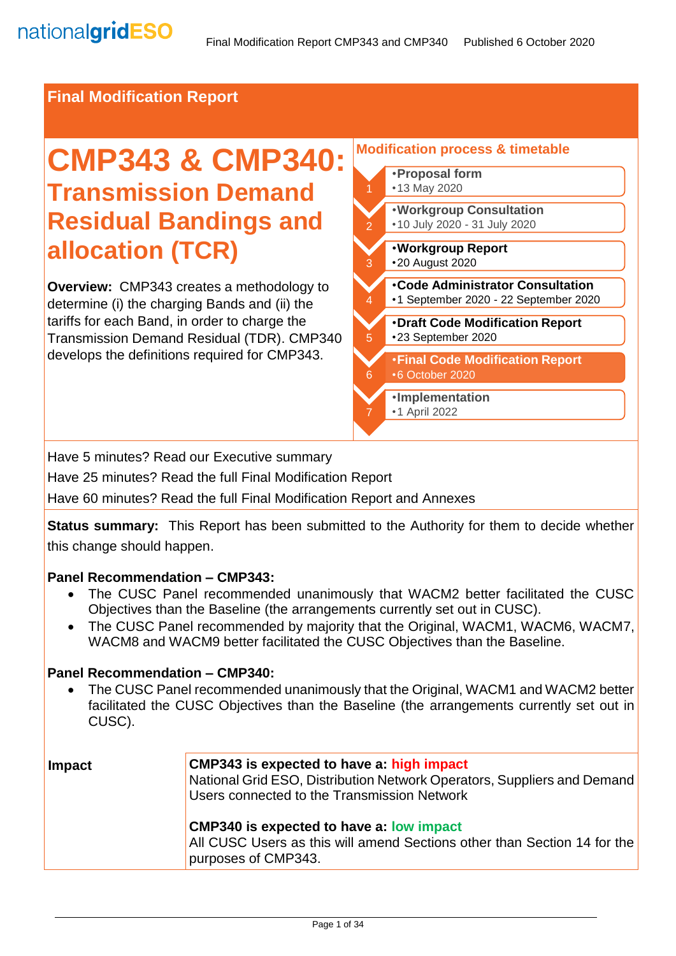### **Final Modification Report**

# **CMP343 & CMP340: Transmission Demand Residual Bandings and allocation (TCR)**

**Overview:** CMP343 creates a methodology to determine (i) the charging Bands and (ii) the tariffs for each Band, in order to charge the Transmission Demand Residual (TDR). CMP340 develops the definitions required for CMP343.

#### **Modification process & timetable**  •**Proposal form** •13 May 2020 2 •**Code Administrator Consultation** •1 September 2020 - 22 September 2020 3 •**Workgroup Report**  •20 August 2020 4 •**Workgroup Consultation** •10 July 2020 - 31 July 2020 5 •**Draft Code Modification Report** •23 September 2020 6 •**Final Code Modification Report** •6 October 2020 7 •**Implementation** •1 April 2022

Have 5 minutes? Read our Executive summary

Have 25 minutes? Read the full Final Modification Report

Have 60 minutes? Read the full Final Modification Report and Annexes

**Status summary:** This Report has been submitted to the Authority for them to decide whether this change should happen.

#### **Panel Recommendation – CMP343:**

- The CUSC Panel recommended unanimously that WACM2 better facilitated the CUSC Objectives than the Baseline (the arrangements currently set out in CUSC).
- The CUSC Panel recommended by majority that the Original, WACM1, WACM6, WACM7, WACM8 and WACM9 better facilitated the CUSC Objectives than the Baseline.

#### **Panel Recommendation – CMP340:**

• The CUSC Panel recommended unanimously that the Original, WACM1 and WACM2 better facilitated the CUSC Objectives than the Baseline (the arrangements currently set out in CUSC).

| Impact | <b>CMP343</b> is expected to have a: high impact<br>National Grid ESO, Distribution Network Operators, Suppliers and Demand<br>Users connected to the Transmission Network |
|--------|----------------------------------------------------------------------------------------------------------------------------------------------------------------------------|
|        | <b>CMP340 is expected to have a: low impact</b><br>All CUSC Users as this will amend Sections other than Section 14 for the<br>purposes of CMP343.                         |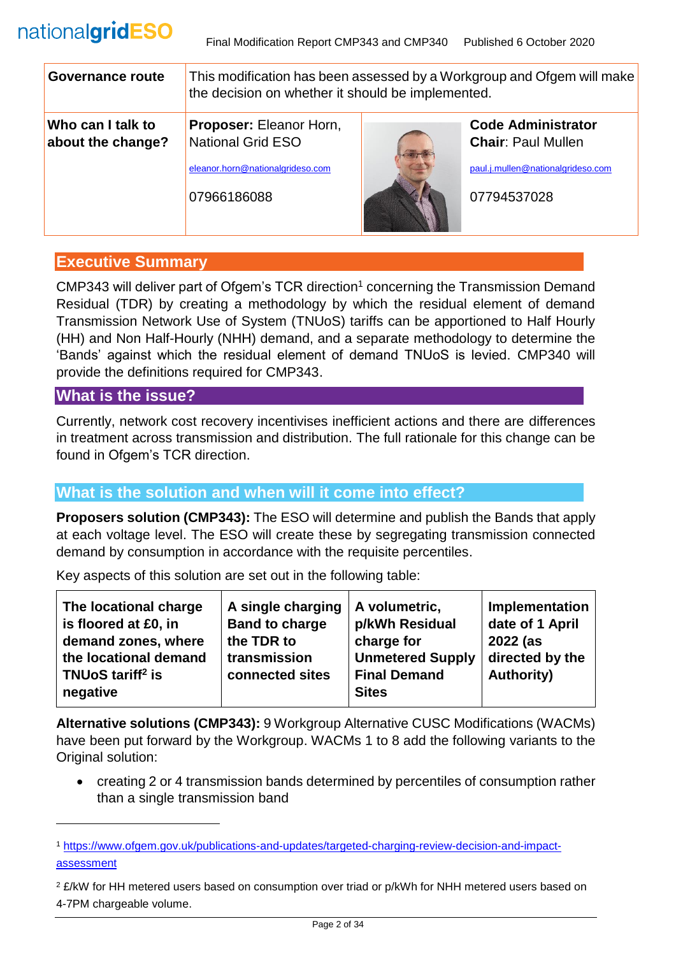| Governance route                       | This modification has been assessed by a Workgroup and Ofgem will make<br>the decision on whether it should be implemented. |  |                                                                                                            |
|----------------------------------------|-----------------------------------------------------------------------------------------------------------------------------|--|------------------------------------------------------------------------------------------------------------|
| Who can I talk to<br>about the change? | Proposer: Eleanor Horn,<br><b>National Grid ESO</b><br>eleanor.horn@nationalgrideso.com<br>07966186088                      |  | <b>Code Administrator</b><br><b>Chair: Paul Mullen</b><br>paul.j.mullen@nationalgrideso.com<br>07794537028 |

# **Executive Summary**

CMP343 will deliver part of Ofgem's TCR direction<sup>1</sup> concerning the Transmission Demand Residual (TDR) by creating a methodology by which the residual element of demand Transmission Network Use of System (TNUoS) tariffs can be apportioned to Half Hourly (HH) and Non Half-Hourly (NHH) demand, and a separate methodology to determine the 'Bands' against which the residual element of demand TNUoS is levied. CMP340 will provide the definitions required for CMP343.

# **What is the issue?**

l

Currently, network cost recovery incentivises inefficient actions and there are differences in treatment across transmission and distribution. The full rationale for this change can be found in Ofgem's TCR direction.

# **What is the solution and when will it come into effect?**

**Proposers solution (CMP343):** The ESO will determine and publish the Bands that apply at each voltage level. The ESO will create these by segregating transmission connected demand by consumption in accordance with the requisite percentiles.

Key aspects of this solution are set out in the following table:

| The locational charge<br>is floored at £0, in<br>demand zones, where<br>the locational demand<br>TNUoS tariff <sup>2</sup> is<br>negative | A single charging<br><b>Band to charge</b><br>the TDR to<br>transmission<br>connected sites | A volumetric,<br>p/kWh Residual<br>charge for<br><b>Unmetered Supply</b><br><b>Final Demand</b><br><b>Sites</b> | Implementation<br>date of 1 April<br>2022 (as<br>directed by the<br><b>Authority)</b> |
|-------------------------------------------------------------------------------------------------------------------------------------------|---------------------------------------------------------------------------------------------|-----------------------------------------------------------------------------------------------------------------|---------------------------------------------------------------------------------------|
|-------------------------------------------------------------------------------------------------------------------------------------------|---------------------------------------------------------------------------------------------|-----------------------------------------------------------------------------------------------------------------|---------------------------------------------------------------------------------------|

**Alternative solutions (CMP343):** 9 Workgroup Alternative CUSC Modifications (WACMs) have been put forward by the Workgroup. WACMs 1 to 8 add the following variants to the Original solution:

• creating 2 or 4 transmission bands determined by percentiles of consumption rather than a single transmission band

<sup>1</sup> [https://www.ofgem.gov.uk/publications-and-updates/targeted-charging-review-decision-and-impact](https://www.ofgem.gov.uk/publications-and-updates/targeted-charging-review-decision-and-impact-assessment)[assessment](https://www.ofgem.gov.uk/publications-and-updates/targeted-charging-review-decision-and-impact-assessment)

<sup>&</sup>lt;sup>2</sup> £/kW for HH metered users based on consumption over triad or p/kWh for NHH metered users based on 4-7PM chargeable volume.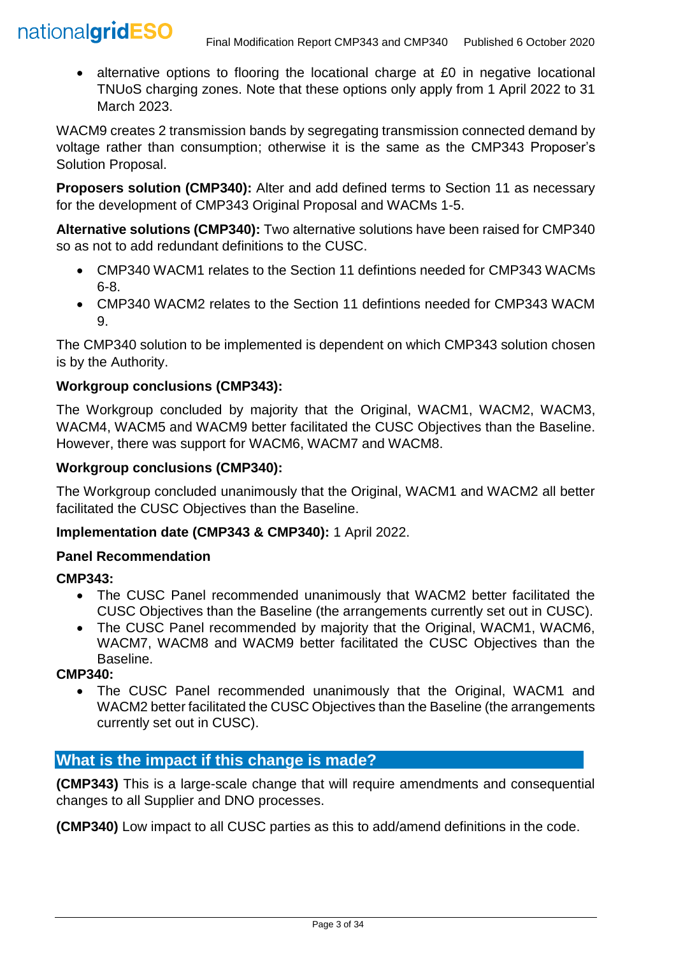• alternative options to flooring the locational charge at £0 in negative locational TNUoS charging zones. Note that these options only apply from 1 April 2022 to 31 March 2023.

WACM9 creates 2 transmission bands by segregating transmission connected demand by voltage rather than consumption; otherwise it is the same as the CMP343 Proposer's Solution Proposal.

**Proposers solution (CMP340):** Alter and add defined terms to Section 11 as necessary for the development of CMP343 Original Proposal and WACMs 1-5.

**Alternative solutions (CMP340):** Two alternative solutions have been raised for CMP340 so as not to add redundant definitions to the CUSC.

- CMP340 WACM1 relates to the Section 11 defintions needed for CMP343 WACMs 6-8.
- CMP340 WACM2 relates to the Section 11 defintions needed for CMP343 WACM 9.

The CMP340 solution to be implemented is dependent on which CMP343 solution chosen is by the Authority.

# **Workgroup conclusions (CMP343):**

The Workgroup concluded by majority that the Original, WACM1, WACM2, WACM3, WACM4, WACM5 and WACM9 better facilitated the CUSC Objectives than the Baseline. However, there was support for WACM6, WACM7 and WACM8.

### **Workgroup conclusions (CMP340):**

The Workgroup concluded unanimously that the Original, WACM1 and WACM2 all better facilitated the CUSC Objectives than the Baseline.

#### **Implementation date (CMP343 & CMP340):** 1 April 2022.

### **Panel Recommendation**

### **CMP343:**

- The CUSC Panel recommended unanimously that WACM2 better facilitated the CUSC Objectives than the Baseline (the arrangements currently set out in CUSC).
- The CUSC Panel recommended by maiority that the Original, WACM1, WACM6. WACM7, WACM8 and WACM9 better facilitated the CUSC Objectives than the Baseline.

#### **CMP340:**

• The CUSC Panel recommended unanimously that the Original, WACM1 and WACM2 better facilitated the CUSC Objectives than the Baseline (the arrangements currently set out in CUSC).

# **What is the impact if this change is made?**

**(CMP343)** This is a large-scale change that will require amendments and consequential changes to all Supplier and DNO processes.

**(CMP340)** Low impact to all CUSC parties as this to add/amend definitions in the code.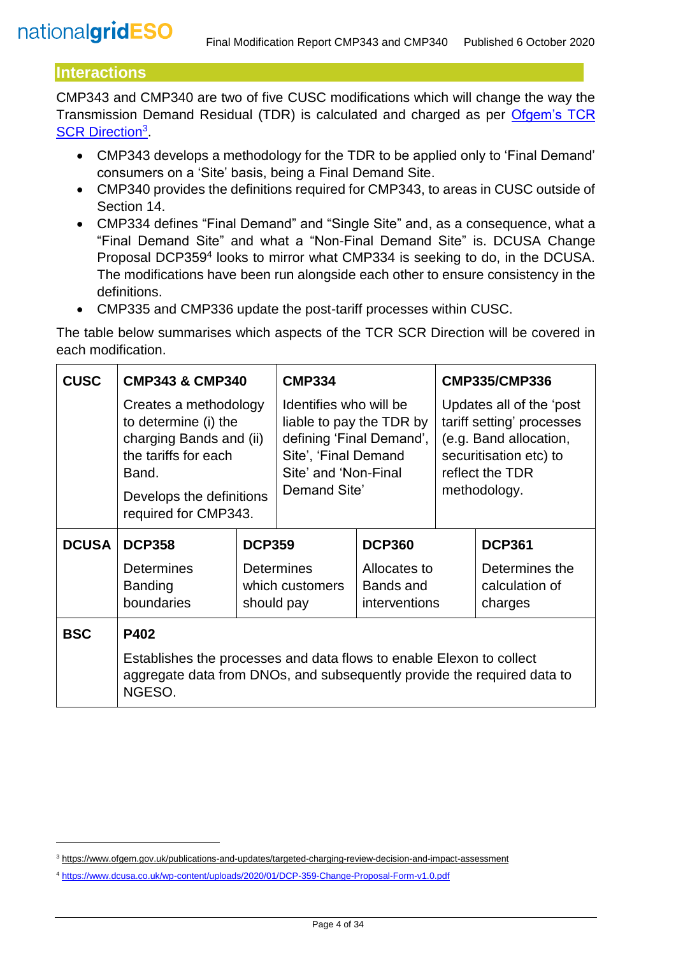# **Interactions**

l

CMP343 and CMP340 are two of five CUSC modifications which will change the way the Transmission Demand Residual (TDR) is calculated and charged as per [Ofgem's TCR](https://www.ofgem.gov.uk/publications-and-updates/targeted-charging-review-decision-and-impact-assessment)  [SCR Direction](https://www.ofgem.gov.uk/publications-and-updates/targeted-charging-review-decision-and-impact-assessment)<sup>3</sup>

- CMP343 develops a methodology for the TDR to be applied only to 'Final Demand' consumers on a 'Site' basis, being a Final Demand Site.
- CMP340 provides the definitions required for CMP343, to areas in CUSC outside of Section 14.
- CMP334 defines "Final Demand" and "Single Site" and, as a consequence, what a "Final Demand Site" and what a "Non-Final Demand Site" is. DCUSA Change Proposal DCP359<sup>4</sup> looks to mirror what CMP334 is seeking to do, in the DCUSA. The modifications have been run alongside each other to ensure consistency in the definitions.
- CMP335 and CMP336 update the post-tariff processes within CUSC.

The table below summarises which aspects of the TCR SCR Direction will be covered in each modification.

| <b>CUSC</b>  | <b>CMP343 &amp; CMP340</b>                                                                                                                                    |               | <b>CMP334</b>                                                                                                                                  |                                            | <b>CMP335/CMP336</b>                                                                                                                         |                                             |
|--------------|---------------------------------------------------------------------------------------------------------------------------------------------------------------|---------------|------------------------------------------------------------------------------------------------------------------------------------------------|--------------------------------------------|----------------------------------------------------------------------------------------------------------------------------------------------|---------------------------------------------|
|              | Creates a methodology<br>to determine (i) the<br>charging Bands and (ii)<br>the tariffs for each<br>Band.<br>Develops the definitions<br>required for CMP343. |               | Identifies who will be<br>liable to pay the TDR by<br>defining 'Final Demand',<br>Site', 'Final Demand<br>Site' and 'Non-Final<br>Demand Site' |                                            | Updates all of the 'post<br>tariff setting' processes<br>(e.g. Band allocation,<br>securitisation etc) to<br>reflect the TDR<br>methodology. |                                             |
| <b>DCUSA</b> | <b>DCP358</b>                                                                                                                                                 | <b>DCP359</b> |                                                                                                                                                | <b>DCP360</b>                              |                                                                                                                                              | <b>DCP361</b>                               |
|              | <b>Determines</b><br><b>Banding</b><br>boundaries                                                                                                             |               | <b>Determines</b><br>which customers<br>should pay                                                                                             | Allocates to<br>Bands and<br>interventions |                                                                                                                                              | Determines the<br>calculation of<br>charges |
| <b>BSC</b>   | P402                                                                                                                                                          |               |                                                                                                                                                |                                            |                                                                                                                                              |                                             |
|              | Establishes the processes and data flows to enable Elexon to collect<br>aggregate data from DNOs, and subsequently provide the required data to<br>NGESO.     |               |                                                                                                                                                |                                            |                                                                                                                                              |                                             |

<sup>3</sup> <https://www.ofgem.gov.uk/publications-and-updates/targeted-charging-review-decision-and-impact-assessment>

<sup>4</sup> <https://www.dcusa.co.uk/wp-content/uploads/2020/01/DCP-359-Change-Proposal-Form-v1.0.pdf>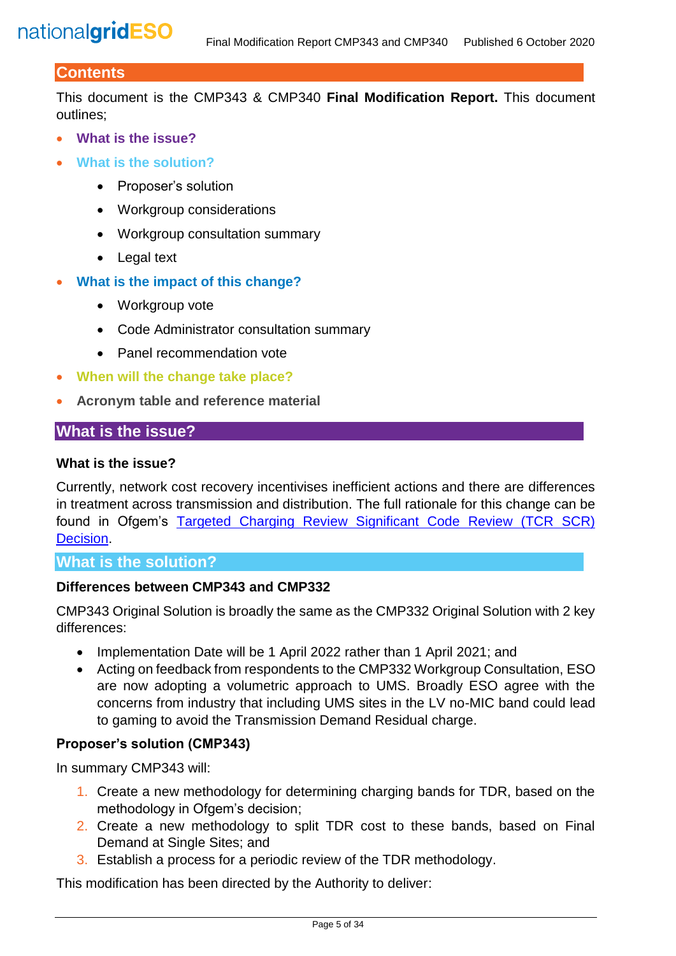# **Contents**

This document is the CMP343 & CMP340 **Final Modification Report.** This document outlines;

- **What is the issue?**
- **What is the solution?**
	- Proposer's solution
	- Workgroup considerations
	- Workgroup consultation summary
	- Legal text
- **What is the impact of this change?**
	- Workgroup vote
	- Code Administrator consultation summary
	- Panel recommendation vote
- **When will the change take place?**
- **Acronym table and reference material**

# **What is the issue?**

#### **What is the issue?**

Currently, network cost recovery incentivises inefficient actions and there are differences in treatment across transmission and distribution. The full rationale for this change can be found in Ofgem's Targeted Charging Review Significant Code Review (TCR SCR) [Decision.](https://www.ofgem.gov.uk/system/files/docs/2019/12/full_decision_doc_updated.pdf)

#### **What is the solution?**

#### **Differences between CMP343 and CMP332**

CMP343 Original Solution is broadly the same as the CMP332 Original Solution with 2 key differences:

- Implementation Date will be 1 April 2022 rather than 1 April 2021; and
- Acting on feedback from respondents to the CMP332 Workgroup Consultation, ESO are now adopting a volumetric approach to UMS. Broadly ESO agree with the concerns from industry that including UMS sites in the LV no-MIC band could lead to gaming to avoid the Transmission Demand Residual charge.

#### **Proposer's solution (CMP343)**

In summary CMP343 will:

- 1. Create a new methodology for determining charging bands for TDR, based on the methodology in Ofgem's decision;
- 2. Create a new methodology to split TDR cost to these bands, based on Final Demand at Single Sites; and
- 3. Establish a process for a periodic review of the TDR methodology.

This modification has been directed by the Authority to deliver: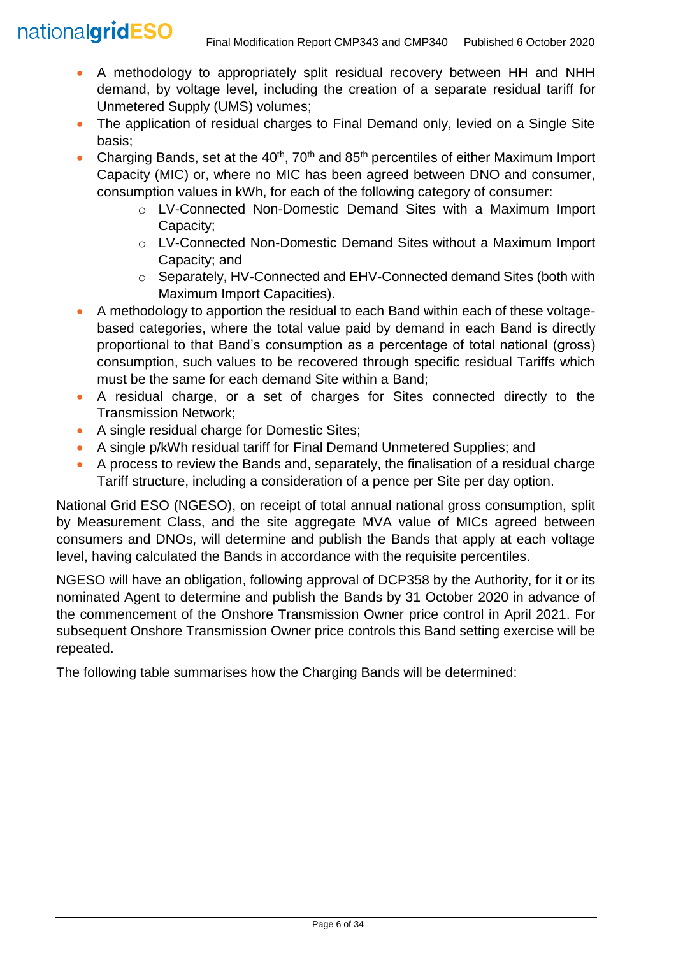- A methodology to appropriately split residual recovery between HH and NHH demand, by voltage level, including the creation of a separate residual tariff for Unmetered Supply (UMS) volumes;
- The application of residual charges to Final Demand only, levied on a Single Site basis;
- Charging Bands, set at the  $40<sup>th</sup>$ , 70<sup>th</sup> and 85<sup>th</sup> percentiles of either Maximum Import Capacity (MIC) or, where no MIC has been agreed between DNO and consumer, consumption values in kWh, for each of the following category of consumer:
	- o LV-Connected Non-Domestic Demand Sites with a Maximum Import Capacity;
	- o LV-Connected Non-Domestic Demand Sites without a Maximum Import Capacity; and
	- o Separately, HV-Connected and EHV-Connected demand Sites (both with Maximum Import Capacities).
- A methodology to apportion the residual to each Band within each of these voltagebased categories, where the total value paid by demand in each Band is directly proportional to that Band's consumption as a percentage of total national (gross) consumption, such values to be recovered through specific residual Tariffs which must be the same for each demand Site within a Band;
- A residual charge, or a set of charges for Sites connected directly to the Transmission Network;
- A single residual charge for Domestic Sites;
- A single p/kWh residual tariff for Final Demand Unmetered Supplies; and
- A process to review the Bands and, separately, the finalisation of a residual charge Tariff structure, including a consideration of a pence per Site per day option.

National Grid ESO (NGESO), on receipt of total annual national gross consumption, split by Measurement Class, and the site aggregate MVA value of MICs agreed between consumers and DNOs, will determine and publish the Bands that apply at each voltage level, having calculated the Bands in accordance with the requisite percentiles.

NGESO will have an obligation, following approval of DCP358 by the Authority, for it or its nominated Agent to determine and publish the Bands by 31 October 2020 in advance of the commencement of the Onshore Transmission Owner price control in April 2021. For subsequent Onshore Transmission Owner price controls this Band setting exercise will be repeated.

The following table summarises how the Charging Bands will be determined: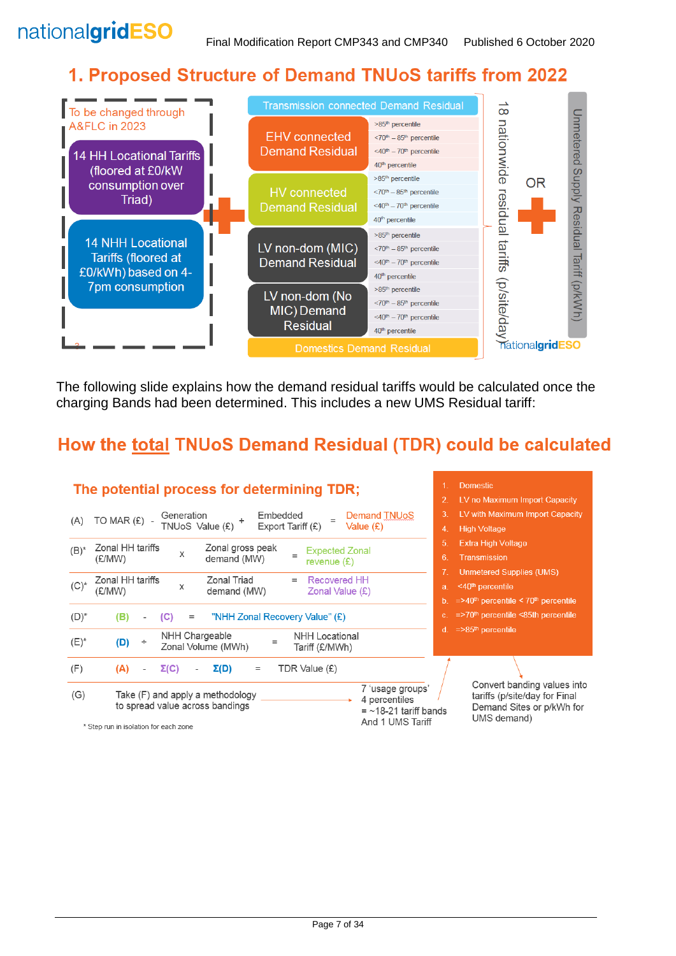# 1. Proposed Structure of Demand TNUoS tariffs from 2022



The following slide explains how the demand residual tariffs would be calculated once the charging Bands had been determined. This includes a new UMS Residual tariff:

# How the total TNUoS Demand Residual (TDR) could be calculated

|         | The potential process for determining TDR;                                                                                          | <b>Domestic</b>                                                                                          |
|---------|-------------------------------------------------------------------------------------------------------------------------------------|----------------------------------------------------------------------------------------------------------|
|         |                                                                                                                                     | LV no Maximum Import Capacity<br>$\mathcal{P}$                                                           |
| (A)     | Embedded<br><b>Demand TNUoS</b><br>Generation<br>TO MAR (£) -                                                                       | 3.<br>LV with Maximum Import Capacity                                                                    |
|         | TNUoS Value (£)<br>Export Tariff $(E)$<br>Value $(E)$                                                                               | <b>High Voltage</b><br>4.                                                                                |
| $(B)^*$ | Zonal HH tariffs<br>Zonal gross peak<br><b>Expected Zonal</b>                                                                       | 5.<br><b>Extra High Voltage</b>                                                                          |
|         | X<br>(£/MW)<br>demand (MW)<br>revenue $(E)$                                                                                         | 6.<br><b>Transmission</b>                                                                                |
|         | Zonal HH tariffs<br>Zonal Triad<br>Recovered HH                                                                                     | <b>Unmetered Supplies (UMS)</b>                                                                          |
| $(C)^*$ | х<br>demand (MW)<br>Zonal Value $(E)$<br>(£/MW)                                                                                     | <40 <sup>th</sup> percentile<br>a.                                                                       |
|         |                                                                                                                                     | $=$ >40 <sup>th</sup> percentile < 70 <sup>th</sup> percentile<br>b.                                     |
| $(D)^*$ | "NHH Zonal Recovery Value" (£)<br>(B)<br>(C)<br>$=$                                                                                 | $=$ >70 <sup>th</sup> percentile <85th percentile<br>c.                                                  |
| $(E)^*$ | NHH Chargeable<br><b>NHH Locational</b><br>(D)<br>÷<br>$=$<br>Zonal Volume (MWh)<br>Tariff (£/MWh)                                  | $=$ >85 <sup>th</sup> percentile<br>d.                                                                   |
| (F)     | $\Sigma(D)$<br>TDR Value (£)<br>(A)<br>$\Sigma(C)$<br>$=$                                                                           |                                                                                                          |
| (G)     | 7 'usage groups'<br>Take (F) and apply a methodology<br>4 percentiles<br>to spread value across bandings<br>$=$ ~18-21 tariff bands | Convert banding values into<br>tariffs (p/site/day for Final<br>Demand Sites or p/kWh for<br>UMS demand) |
|         | And 1 UMS Tariff<br>* Step run in isolation for each zone                                                                           |                                                                                                          |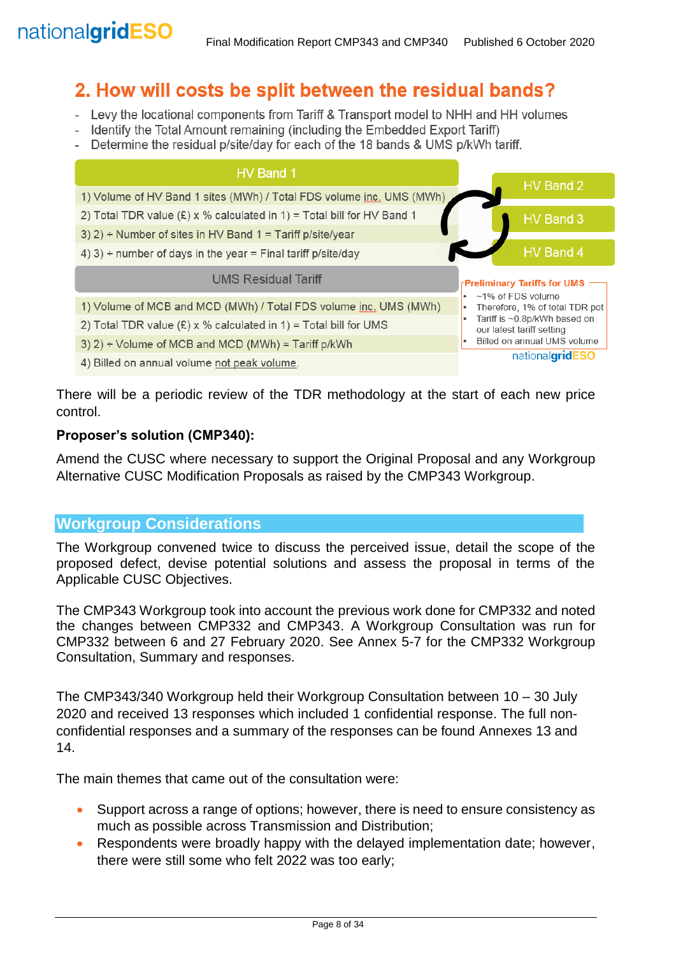# 2. How will costs be split between the residual bands?

- Levy the locational components from Tariff & Transport model to NHH and HH volumes
- Identify the Total Amount remaining (including the Embedded Export Tariff)
- Determine the residual p/site/day for each of the 18 bands & UMS p/kWh tariff.

| HV Band 1                                                                |                                                           |
|--------------------------------------------------------------------------|-----------------------------------------------------------|
| 1) Volume of HV Band 1 sites (MWh) / Total FDS volume inc. UMS (MWh)     | HV Band 2                                                 |
| 2) Total TDR value $(E)$ x % calculated in 1) = Total bill for HV Band 1 | HV Band 3                                                 |
| 3) 2) ÷ Number of sites in HV Band 1 = Tariff p/site/year                |                                                           |
| 4) 3) ÷ number of days in the year = Final tariff p/site/day             | HV Band 4                                                 |
| <b>UMS Residual Tariff</b>                                               | <b>Preliminary Tariffs for UMS</b>                        |
| 1) Volume of MCB and MCD (MWh) / Total FDS volume inc. UMS (MWh)         | ~1% of FDS volume<br>٠<br>Therefore, 1% of total TDR pot  |
| 2) Total TDR value $(E)$ x % calculated in 1) = Total bill for UMS       | Tariff is ~0.8p/kWh based on<br>our latest tariff setting |
| 3) $2$ ) ÷ Volume of MCB and MCD (MWh) = Tariff p/kWh                    | Billed on annual UMS volume                               |
|                                                                          | nationalgridE                                             |

4) Billed on annual volume not peak volume.

There will be a periodic review of the TDR methodology at the start of each new price control.

#### **Proposer's solution (CMP340):**

Amend the CUSC where necessary to support the Original Proposal and any Workgroup Alternative CUSC Modification Proposals as raised by the CMP343 Workgroup.

#### **Workgroup Considerations**

The Workgroup convened twice to discuss the perceived issue, detail the scope of the proposed defect, devise potential solutions and assess the proposal in terms of the Applicable CUSC Objectives.

The CMP343 Workgroup took into account the previous work done for CMP332 and noted the changes between CMP332 and CMP343. A Workgroup Consultation was run for CMP332 between 6 and 27 February 2020. See Annex 5-7 for the CMP332 Workgroup Consultation, Summary and responses.

The CMP343/340 Workgroup held their Workgroup Consultation between 10 – 30 July 2020 and received 13 responses which included 1 confidential response. The full nonconfidential responses and a summary of the responses can be found Annexes 13 and 14.

The main themes that came out of the consultation were:

- Support across a range of options; however, there is need to ensure consistency as much as possible across Transmission and Distribution;
- Respondents were broadly happy with the delayed implementation date; however, there were still some who felt 2022 was too early;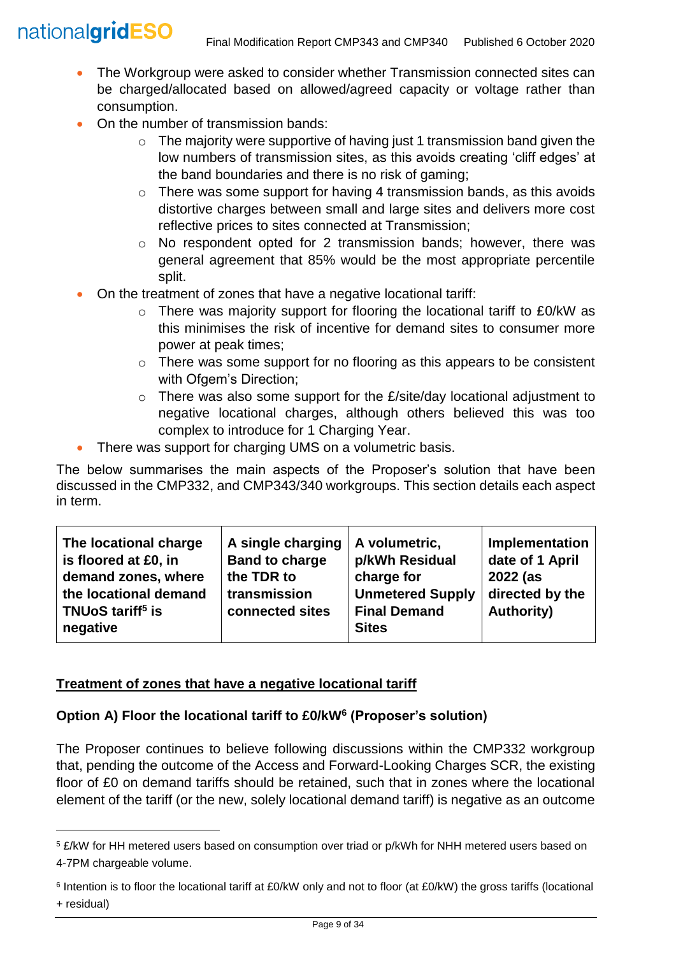l

- The Workgroup were asked to consider whether Transmission connected sites can be charged/allocated based on allowed/agreed capacity or voltage rather than consumption.
- On the number of transmission bands:
	- $\circ$  The majority were supportive of having just 1 transmission band given the low numbers of transmission sites, as this avoids creating 'cliff edges' at the band boundaries and there is no risk of gaming;
	- o There was some support for having 4 transmission bands, as this avoids distortive charges between small and large sites and delivers more cost reflective prices to sites connected at Transmission;
	- o No respondent opted for 2 transmission bands; however, there was general agreement that 85% would be the most appropriate percentile split.
- On the treatment of zones that have a negative locational tariff:
	- o There was majority support for flooring the locational tariff to £0/kW as this minimises the risk of incentive for demand sites to consumer more power at peak times;
	- o There was some support for no flooring as this appears to be consistent with Ofgem's Direction;
	- $\circ$  There was also some support for the  $E/\text{site}/\text{day}$  locational adjustment to negative locational charges, although others believed this was too complex to introduce for 1 Charging Year.
- There was support for charging UMS on a volumetric basis.

The below summarises the main aspects of the Proposer's solution that have been discussed in the CMP332, and CMP343/340 workgroups. This section details each aspect in term.

# **Treatment of zones that have a negative locational tariff**

### **Option A) Floor the locational tariff to £0/kW<sup>6</sup> (Proposer's solution)**

The Proposer continues to believe following discussions within the CMP332 workgroup that, pending the outcome of the Access and Forward-Looking Charges SCR, the existing floor of £0 on demand tariffs should be retained, such that in zones where the locational element of the tariff (or the new, solely locational demand tariff) is negative as an outcome

<sup>5</sup> £/kW for HH metered users based on consumption over triad or p/kWh for NHH metered users based on 4-7PM chargeable volume.

<sup>6</sup> Intention is to floor the locational tariff at £0/kW only and not to floor (at £0/kW) the gross tariffs (locational + residual)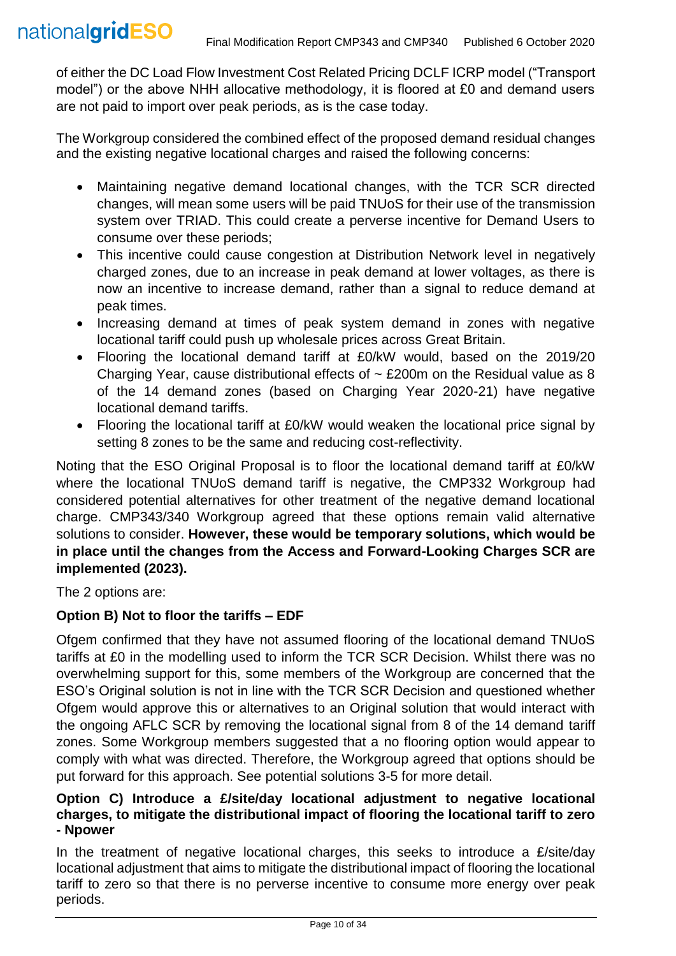of either the DC Load Flow Investment Cost Related Pricing DCLF ICRP model ("Transport model") or the above NHH allocative methodology, it is floored at £0 and demand users are not paid to import over peak periods, as is the case today.

The Workgroup considered the combined effect of the proposed demand residual changes and the existing negative locational charges and raised the following concerns:

- Maintaining negative demand locational changes, with the TCR SCR directed changes, will mean some users will be paid TNUoS for their use of the transmission system over TRIAD. This could create a perverse incentive for Demand Users to consume over these periods;
- This incentive could cause congestion at Distribution Network level in negatively charged zones, due to an increase in peak demand at lower voltages, as there is now an incentive to increase demand, rather than a signal to reduce demand at peak times.
- Increasing demand at times of peak system demand in zones with negative locational tariff could push up wholesale prices across Great Britain.
- Flooring the locational demand tariff at £0/kW would, based on the 2019/20 Charging Year, cause distributional effects of  $\sim$  £200m on the Residual value as 8 of the 14 demand zones (based on Charging Year 2020-21) have negative locational demand tariffs.
- Flooring the locational tariff at £0/kW would weaken the locational price signal by setting 8 zones to be the same and reducing cost-reflectivity.

Noting that the ESO Original Proposal is to floor the locational demand tariff at £0/kW where the locational TNUoS demand tariff is negative, the CMP332 Workgroup had considered potential alternatives for other treatment of the negative demand locational charge. CMP343/340 Workgroup agreed that these options remain valid alternative solutions to consider. **However, these would be temporary solutions, which would be in place until the changes from the Access and Forward-Looking Charges SCR are implemented (2023).**

The 2 options are:

### **Option B) Not to floor the tariffs – EDF**

Ofgem confirmed that they have not assumed flooring of the locational demand TNUoS tariffs at £0 in the modelling used to inform the TCR SCR Decision. Whilst there was no overwhelming support for this, some members of the Workgroup are concerned that the ESO's Original solution is not in line with the TCR SCR Decision and questioned whether Ofgem would approve this or alternatives to an Original solution that would interact with the ongoing AFLC SCR by removing the locational signal from 8 of the 14 demand tariff zones. Some Workgroup members suggested that a no flooring option would appear to comply with what was directed. Therefore, the Workgroup agreed that options should be put forward for this approach. See potential solutions 3-5 for more detail.

#### **Option C) Introduce a £/site/day locational adjustment to negative locational charges, to mitigate the distributional impact of flooring the locational tariff to zero - Npower**

In the treatment of negative locational charges, this seeks to introduce a £/site/day locational adjustment that aims to mitigate the distributional impact of flooring the locational tariff to zero so that there is no perverse incentive to consume more energy over peak periods.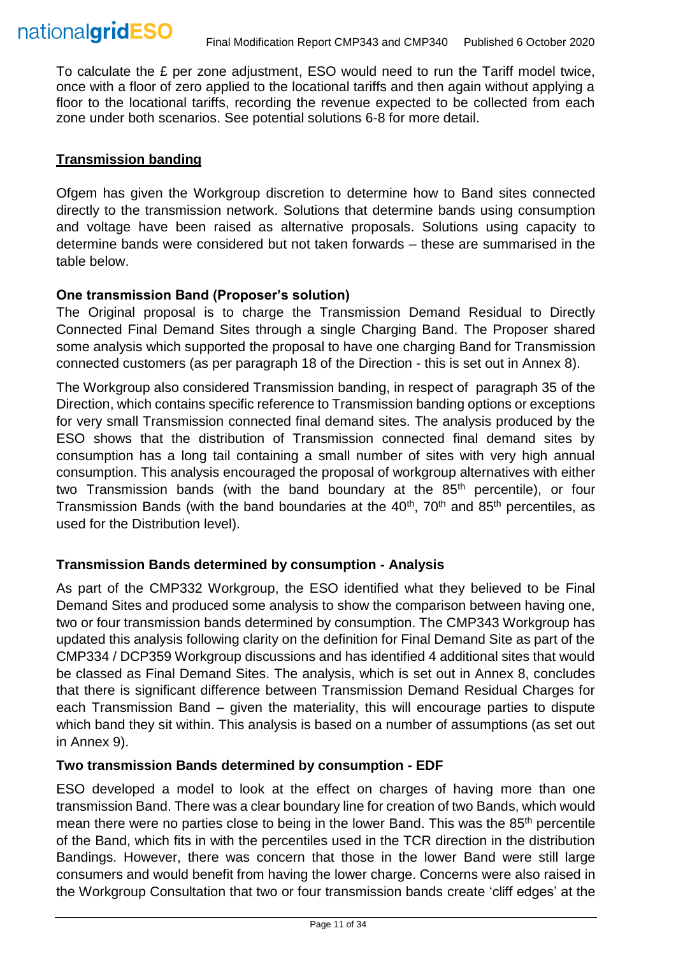

To calculate the £ per zone adjustment, ESO would need to run the Tariff model twice, once with a floor of zero applied to the locational tariffs and then again without applying a floor to the locational tariffs, recording the revenue expected to be collected from each zone under both scenarios. See potential solutions 6-8 for more detail.

#### **Transmission banding**

Ofgem has given the Workgroup discretion to determine how to Band sites connected directly to the transmission network. Solutions that determine bands using consumption and voltage have been raised as alternative proposals. Solutions using capacity to determine bands were considered but not taken forwards – these are summarised in the table below.

#### **One transmission Band (Proposer's solution)**

The Original proposal is to charge the Transmission Demand Residual to Directly Connected Final Demand Sites through a single Charging Band. The Proposer shared some analysis which supported the proposal to have one charging Band for Transmission connected customers (as per paragraph 18 of the Direction - this is set out in Annex 8).

The Workgroup also considered Transmission banding, in respect of paragraph 35 of the Direction, which contains specific reference to Transmission banding options or exceptions for very small Transmission connected final demand sites. The analysis produced by the ESO shows that the distribution of Transmission connected final demand sites by consumption has a long tail containing a small number of sites with very high annual consumption. This analysis encouraged the proposal of workgroup alternatives with either two Transmission bands (with the band boundary at the 85<sup>th</sup> percentile), or four Transmission Bands (with the band boundaries at the 40<sup>th</sup>, 70<sup>th</sup> and 85<sup>th</sup> percentiles, as used for the Distribution level).

### **Transmission Bands determined by consumption - Analysis**

As part of the CMP332 Workgroup, the ESO identified what they believed to be Final Demand Sites and produced some analysis to show the comparison between having one, two or four transmission bands determined by consumption. The CMP343 Workgroup has updated this analysis following clarity on the definition for Final Demand Site as part of the CMP334 / DCP359 Workgroup discussions and has identified 4 additional sites that would be classed as Final Demand Sites. The analysis, which is set out in Annex 8, concludes that there is significant difference between Transmission Demand Residual Charges for each Transmission Band – given the materiality, this will encourage parties to dispute which band they sit within. This analysis is based on a number of assumptions (as set out in Annex 9).

#### **Two transmission Bands determined by consumption - EDF**

ESO developed a model to look at the effect on charges of having more than one transmission Band. There was a clear boundary line for creation of two Bands, which would mean there were no parties close to being in the lower Band. This was the 85<sup>th</sup> percentile of the Band, which fits in with the percentiles used in the TCR direction in the distribution Bandings. However, there was concern that those in the lower Band were still large consumers and would benefit from having the lower charge. Concerns were also raised in the Workgroup Consultation that two or four transmission bands create 'cliff edges' at the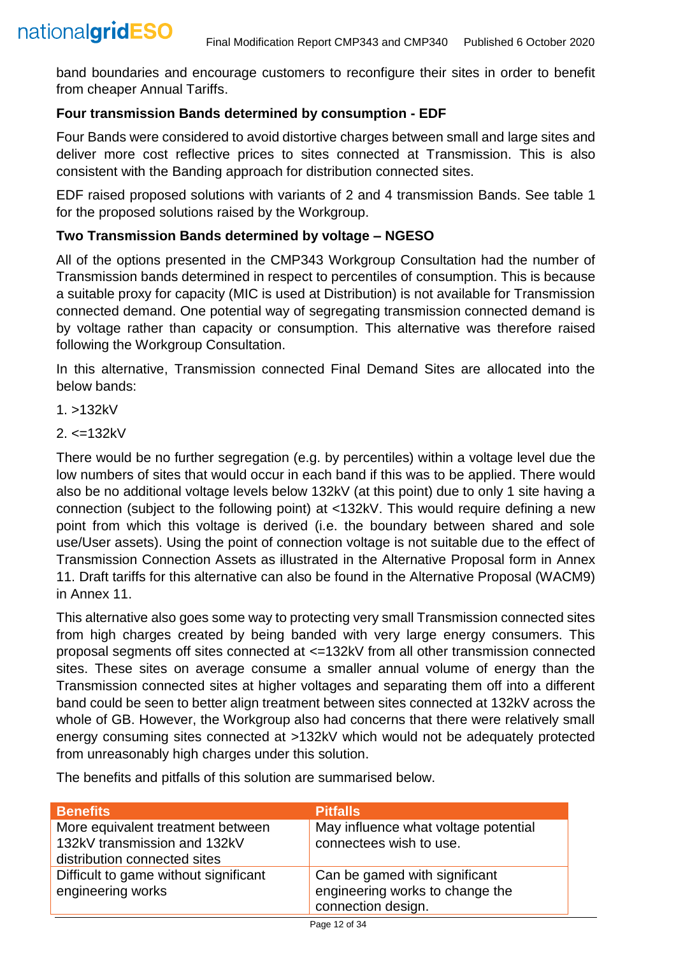band boundaries and encourage customers to reconfigure their sites in order to benefit from cheaper Annual Tariffs.

# **Four transmission Bands determined by consumption - EDF**

Four Bands were considered to avoid distortive charges between small and large sites and deliver more cost reflective prices to sites connected at Transmission. This is also consistent with the Banding approach for distribution connected sites.

EDF raised proposed solutions with variants of 2 and 4 transmission Bands. See table 1 for the proposed solutions raised by the Workgroup.

# **Two Transmission Bands determined by voltage – NGESO**

All of the options presented in the CMP343 Workgroup Consultation had the number of Transmission bands determined in respect to percentiles of consumption. This is because a suitable proxy for capacity (MIC is used at Distribution) is not available for Transmission connected demand. One potential way of segregating transmission connected demand is by voltage rather than capacity or consumption. This alternative was therefore raised following the Workgroup Consultation.

In this alternative, Transmission connected Final Demand Sites are allocated into the below bands:

1. >132kV

 $2. < = 132kV$ 

There would be no further segregation (e.g. by percentiles) within a voltage level due the low numbers of sites that would occur in each band if this was to be applied. There would also be no additional voltage levels below 132kV (at this point) due to only 1 site having a connection (subject to the following point) at <132kV. This would require defining a new point from which this voltage is derived (i.e. the boundary between shared and sole use/User assets). Using the point of connection voltage is not suitable due to the effect of Transmission Connection Assets as illustrated in the Alternative Proposal form in Annex 11. Draft tariffs for this alternative can also be found in the Alternative Proposal (WACM9) in Annex 11.

This alternative also goes some way to protecting very small Transmission connected sites from high charges created by being banded with very large energy consumers. This proposal segments off sites connected at <=132kV from all other transmission connected sites. These sites on average consume a smaller annual volume of energy than the Transmission connected sites at higher voltages and separating them off into a different band could be seen to better align treatment between sites connected at 132kV across the whole of GB. However, the Workgroup also had concerns that there were relatively small energy consuming sites connected at >132kV which would not be adequately protected from unreasonably high charges under this solution.

The benefits and pitfalls of this solution are summarised below.

| <b>Benefits</b>                                                                                   | <b>Pitfalls</b>                                                                        |
|---------------------------------------------------------------------------------------------------|----------------------------------------------------------------------------------------|
| More equivalent treatment between<br>132kV transmission and 132kV<br>distribution connected sites | May influence what voltage potential<br>connectees wish to use.                        |
| Difficult to game without significant<br>engineering works                                        | Can be gamed with significant<br>engineering works to change the<br>connection design. |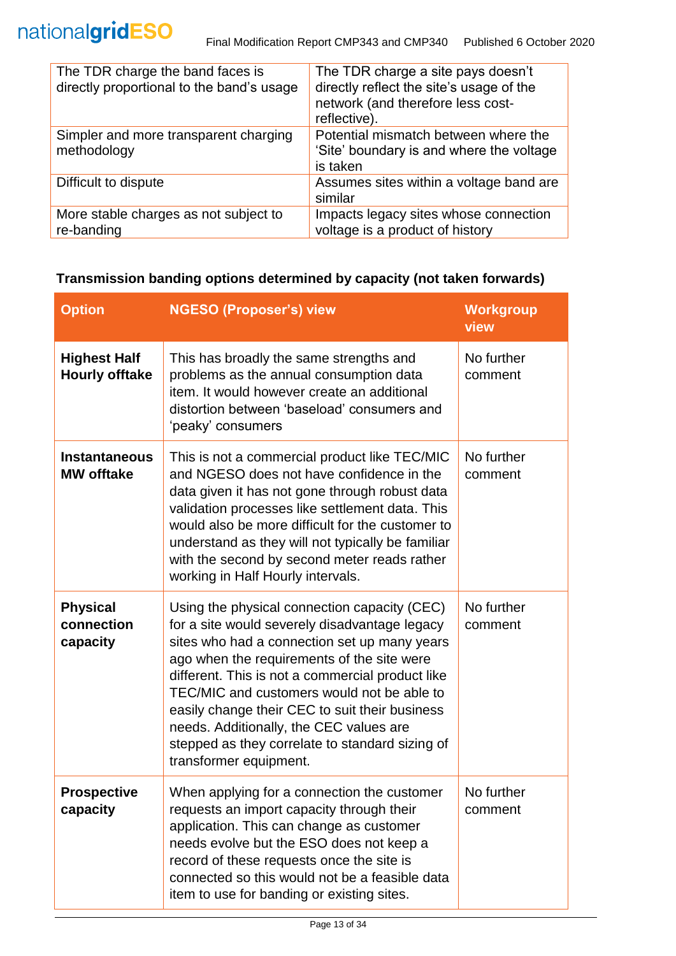| The TDR charge the band faces is<br>directly proportional to the band's usage | The TDR charge a site pays doesn't<br>directly reflect the site's usage of the<br>network (and therefore less cost-<br>reflective). |
|-------------------------------------------------------------------------------|-------------------------------------------------------------------------------------------------------------------------------------|
| Simpler and more transparent charging<br>methodology                          | Potential mismatch between where the<br>'Site' boundary is and where the voltage<br>is taken                                        |
| Difficult to dispute                                                          | Assumes sites within a voltage band are<br>similar                                                                                  |
| More stable charges as not subject to<br>re-banding                           | Impacts legacy sites whose connection<br>voltage is a product of history                                                            |

### **Transmission banding options determined by capacity (not taken forwards)**

| <b>Option</b>                                | <b>NGESO (Proposer's) view</b>                                                                                                                                                                                                                                                                                                                                                                                                                                          | <b>Workgroup</b><br>view |
|----------------------------------------------|-------------------------------------------------------------------------------------------------------------------------------------------------------------------------------------------------------------------------------------------------------------------------------------------------------------------------------------------------------------------------------------------------------------------------------------------------------------------------|--------------------------|
| <b>Highest Half</b><br><b>Hourly offtake</b> | This has broadly the same strengths and<br>problems as the annual consumption data<br>item. It would however create an additional<br>distortion between 'baseload' consumers and<br>'peaky' consumers                                                                                                                                                                                                                                                                   | No further<br>comment    |
| <b>Instantaneous</b><br><b>MW</b> offtake    | This is not a commercial product like TEC/MIC<br>and NGESO does not have confidence in the<br>data given it has not gone through robust data<br>validation processes like settlement data. This<br>would also be more difficult for the customer to<br>understand as they will not typically be familiar<br>with the second by second meter reads rather<br>working in Half Hourly intervals.                                                                           | No further<br>comment    |
| <b>Physical</b><br>connection<br>capacity    | Using the physical connection capacity (CEC)<br>for a site would severely disadvantage legacy<br>sites who had a connection set up many years<br>ago when the requirements of the site were<br>different. This is not a commercial product like<br>TEC/MIC and customers would not be able to<br>easily change their CEC to suit their business<br>needs. Additionally, the CEC values are<br>stepped as they correlate to standard sizing of<br>transformer equipment. | No further<br>comment    |
| <b>Prospective</b><br>capacity               | When applying for a connection the customer<br>requests an import capacity through their<br>application. This can change as customer<br>needs evolve but the ESO does not keep a<br>record of these requests once the site is<br>connected so this would not be a feasible data<br>item to use for banding or existing sites.                                                                                                                                           | No further<br>comment    |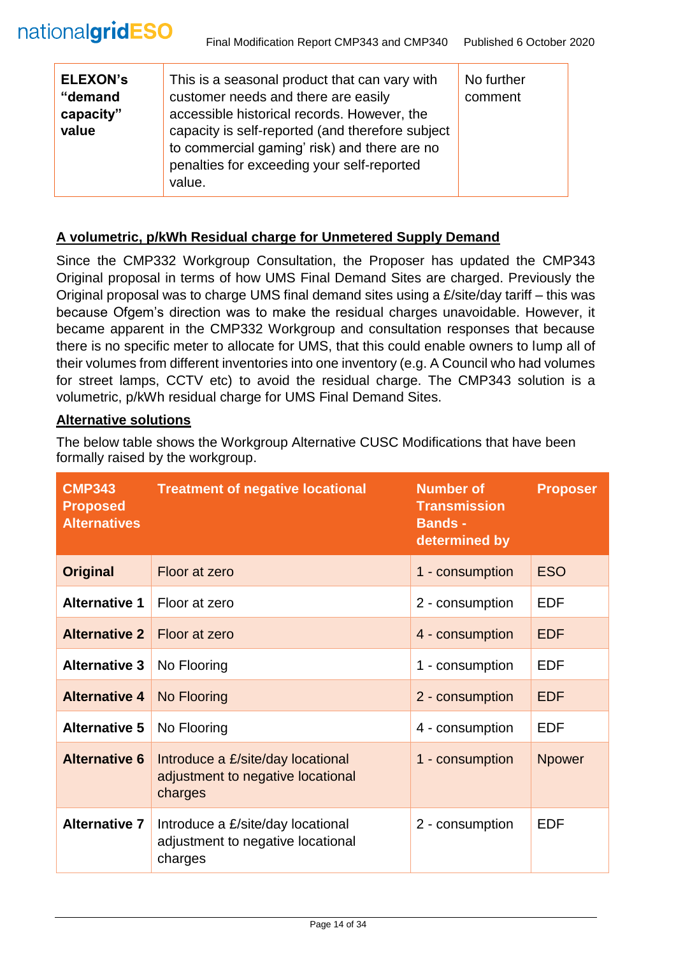| <b>ELEXON's</b><br>"demand<br>capacity"<br>value | This is a seasonal product that can vary with<br>customer needs and there are easily<br>accessible historical records. However, the<br>capacity is self-reported (and therefore subject<br>to commercial gaming' risk) and there are no<br>penalties for exceeding your self-reported<br>value. | No further<br>comment |
|--------------------------------------------------|-------------------------------------------------------------------------------------------------------------------------------------------------------------------------------------------------------------------------------------------------------------------------------------------------|-----------------------|
|--------------------------------------------------|-------------------------------------------------------------------------------------------------------------------------------------------------------------------------------------------------------------------------------------------------------------------------------------------------|-----------------------|

#### **A volumetric, p/kWh Residual charge for Unmetered Supply Demand**

Since the CMP332 Workgroup Consultation, the Proposer has updated the CMP343 Original proposal in terms of how UMS Final Demand Sites are charged. Previously the Original proposal was to charge UMS final demand sites using a £/site/day tariff – this was because Ofgem's direction was to make the residual charges unavoidable. However, it became apparent in the CMP332 Workgroup and consultation responses that because there is no specific meter to allocate for UMS, that this could enable owners to lump all of their volumes from different inventories into one inventory (e.g. A Council who had volumes for street lamps, CCTV etc) to avoid the residual charge. The CMP343 solution is a volumetric, p/kWh residual charge for UMS Final Demand Sites.

#### **Alternative solutions**

The below table shows the Workgroup Alternative CUSC Modifications that have been formally raised by the workgroup.

| <b>CMP343</b><br><b>Proposed</b><br><b>Alternatives</b> | <b>Treatment of negative locational</b>                                           | <b>Number of</b><br><b>Transmission</b><br><b>Bands -</b><br>determined by | <b>Proposer</b> |
|---------------------------------------------------------|-----------------------------------------------------------------------------------|----------------------------------------------------------------------------|-----------------|
| <b>Original</b>                                         | Floor at zero                                                                     | 1 - consumption                                                            | <b>ESO</b>      |
| <b>Alternative 1</b>                                    | Floor at zero                                                                     | 2 - consumption                                                            | <b>EDF</b>      |
| <b>Alternative 2</b>                                    | Floor at zero                                                                     | 4 - consumption                                                            | <b>EDF</b>      |
| <b>Alternative 3</b>                                    | No Flooring                                                                       | 1 - consumption                                                            | <b>EDF</b>      |
| <b>Alternative 4</b>                                    | No Flooring                                                                       | 2 - consumption                                                            | <b>EDF</b>      |
| <b>Alternative 5</b>                                    | No Flooring                                                                       | 4 - consumption                                                            | <b>EDF</b>      |
| <b>Alternative 6</b>                                    | Introduce a £/site/day locational<br>adjustment to negative locational<br>charges | 1 - consumption                                                            | <b>Npower</b>   |
| <b>Alternative 7</b>                                    | Introduce a £/site/day locational<br>adjustment to negative locational<br>charges | 2 - consumption                                                            | <b>EDF</b>      |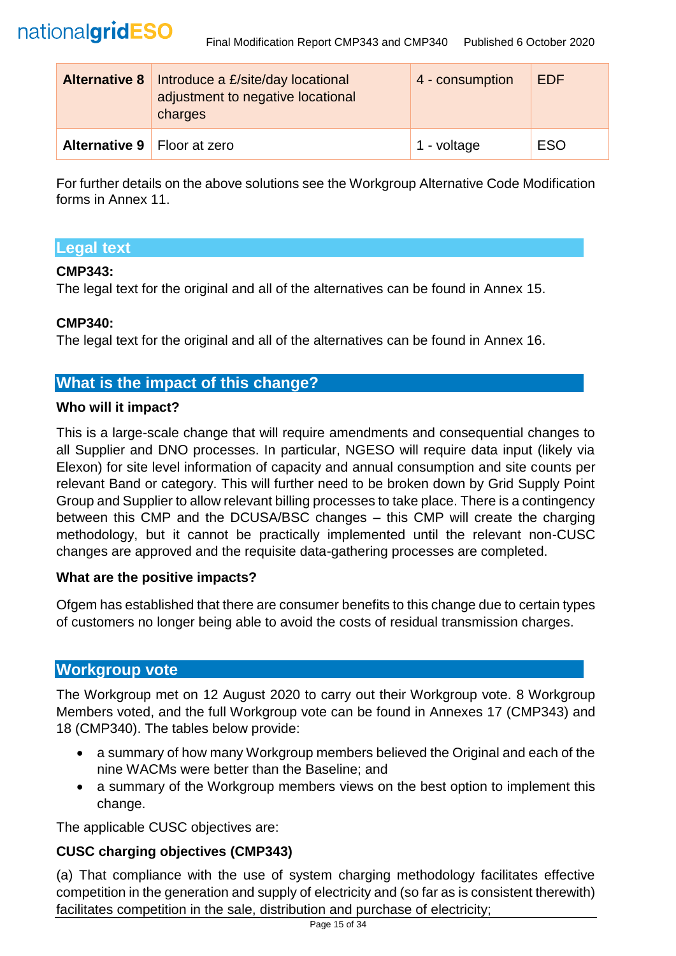

| <b>Alternative 8</b>          | Introduce a £/site/day locational<br>adjustment to negative locational<br>charges | 4 - consumption | <b>EDF</b> |
|-------------------------------|-----------------------------------------------------------------------------------|-----------------|------------|
| Alternative 9   Floor at zero |                                                                                   | 1 - voltage     | <b>ESO</b> |

For further details on the above solutions see the Workgroup Alternative Code Modification forms in Annex 11.

# **Legal text**

### **CMP343:**

The legal text for the original and all of the alternatives can be found in Annex 15.

#### **CMP340:**

The legal text for the original and all of the alternatives can be found in Annex 16.

# **What is the impact of this change?**

#### **Who will it impact?**

This is a large-scale change that will require amendments and consequential changes to all Supplier and DNO processes. In particular, NGESO will require data input (likely via Elexon) for site level information of capacity and annual consumption and site counts per relevant Band or category. This will further need to be broken down by Grid Supply Point Group and Supplier to allow relevant billing processes to take place. There is a contingency between this CMP and the DCUSA/BSC changes – this CMP will create the charging methodology, but it cannot be practically implemented until the relevant non-CUSC changes are approved and the requisite data-gathering processes are completed.

#### **What are the positive impacts?**

Ofgem has established that there are consumer benefits to this change due to certain types of customers no longer being able to avoid the costs of residual transmission charges.

### **Workgroup vote**

The Workgroup met on 12 August 2020 to carry out their Workgroup vote. 8 Workgroup Members voted, and the full Workgroup vote can be found in Annexes 17 (CMP343) and 18 (CMP340). The tables below provide:

- a summary of how many Workgroup members believed the Original and each of the nine WACMs were better than the Baseline; and
- a summary of the Workgroup members views on the best option to implement this change.

The applicable CUSC objectives are:

### **CUSC charging objectives (CMP343)**

(a) That compliance with the use of system charging methodology facilitates effective competition in the generation and supply of electricity and (so far as is consistent therewith) facilitates competition in the sale, distribution and purchase of electricity;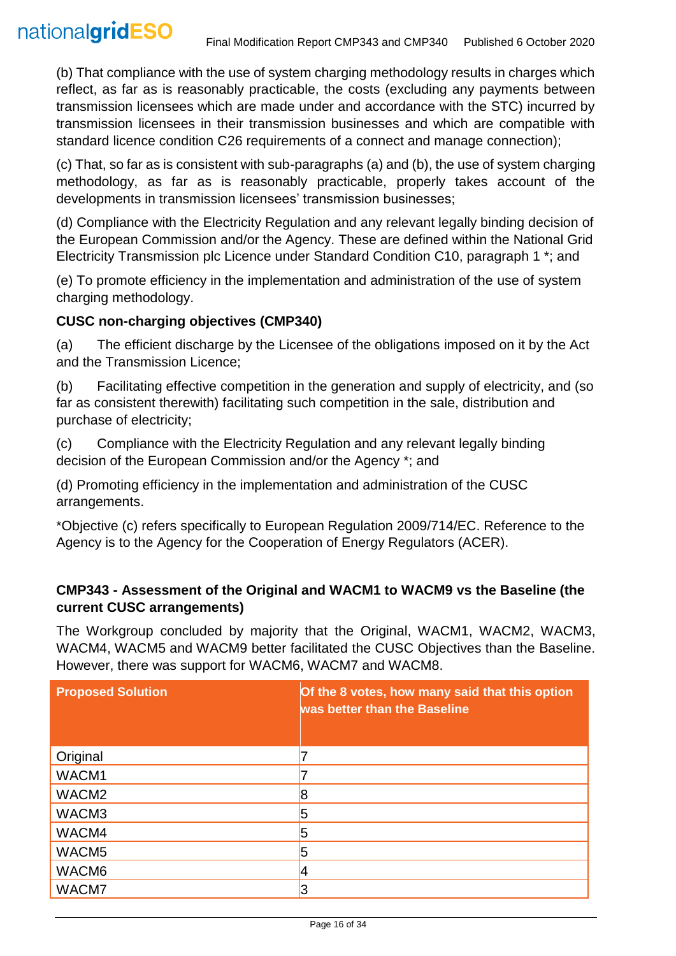(b) That compliance with the use of system charging methodology results in charges which reflect, as far as is reasonably practicable, the costs (excluding any payments between transmission licensees which are made under and accordance with the STC) incurred by transmission licensees in their transmission businesses and which are compatible with standard licence condition C26 requirements of a connect and manage connection);

(c) That, so far as is consistent with sub-paragraphs (a) and (b), the use of system charging methodology, as far as is reasonably practicable, properly takes account of the developments in transmission licensees' transmission businesses;

(d) Compliance with the Electricity Regulation and any relevant legally binding decision of the European Commission and/or the Agency. These are defined within the National Grid Electricity Transmission plc Licence under Standard Condition C10, paragraph 1 \*; and

(e) To promote efficiency in the implementation and administration of the use of system charging methodology.

### **CUSC non-charging objectives (CMP340)**

(a) The efficient discharge by the Licensee of the obligations imposed on it by the Act and the Transmission Licence;

(b) Facilitating effective competition in the generation and supply of electricity, and (so far as consistent therewith) facilitating such competition in the sale, distribution and purchase of electricity;

(c) Compliance with the Electricity Regulation and any relevant legally binding decision of the European Commission and/or the Agency \*; and

(d) Promoting efficiency in the implementation and administration of the CUSC arrangements.

\*Objective (c) refers specifically to European Regulation 2009/714/EC. Reference to the Agency is to the Agency for the Cooperation of Energy Regulators (ACER).

### **CMP343 - Assessment of the Original and WACM1 to WACM9 vs the Baseline (the current CUSC arrangements)**

The Workgroup concluded by majority that the Original, WACM1, WACM2, WACM3, WACM4, WACM5 and WACM9 better facilitated the CUSC Objectives than the Baseline. However, there was support for WACM6, WACM7 and WACM8.

| <b>Proposed Solution</b> | Of the 8 votes, how many said that this option<br>was better than the Baseline |
|--------------------------|--------------------------------------------------------------------------------|
| Original                 |                                                                                |
| WACM1                    |                                                                                |
| WACM <sub>2</sub>        | 18                                                                             |
| WACM3                    | b                                                                              |
| WACM4                    | 5                                                                              |
| WACM <sub>5</sub>        | 5                                                                              |
| WACM6                    |                                                                                |
| WACM7                    |                                                                                |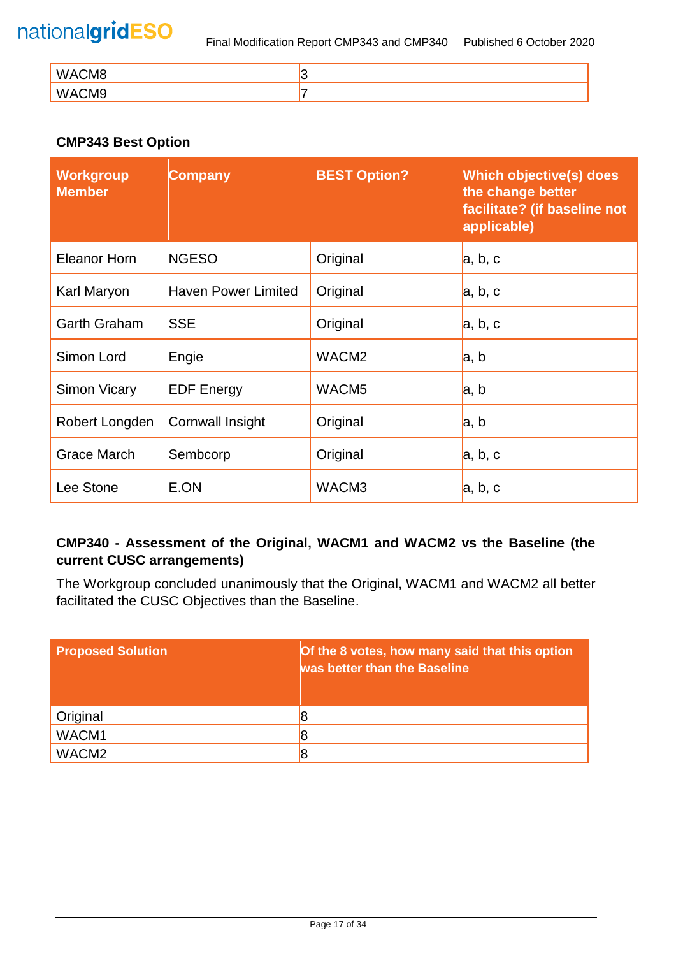| WACM8<br>VV/ |  |
|--------------|--|
| WACM9        |  |

# **CMP343 Best Option**

| <b>Workgroup</b><br><b>Member</b> | <b>Company</b>             | <b>BEST Option?</b> | Which objective(s) does<br>the change better<br>facilitate? (if baseline not<br>applicable) |
|-----------------------------------|----------------------------|---------------------|---------------------------------------------------------------------------------------------|
| <b>Eleanor Horn</b>               | <b>NGESO</b>               | Original            | a, b, c                                                                                     |
| Karl Maryon                       | <b>Haven Power Limited</b> | Original            | a, b, c                                                                                     |
| <b>Garth Graham</b>               | <b>SSE</b>                 | Original            | a, b, c                                                                                     |
| Simon Lord                        | Engie                      | WACM <sub>2</sub>   | a, b                                                                                        |
| <b>Simon Vicary</b>               | <b>EDF</b> Energy          | WACM <sub>5</sub>   | a, b                                                                                        |
| Robert Longden                    | Cornwall Insight           | Original            | a, b                                                                                        |
| <b>Grace March</b>                | Sembcorp                   | Original            | a, b, c                                                                                     |
| Lee Stone                         | E.ON                       | WACM3               | a, b, c                                                                                     |

# **CMP340 - Assessment of the Original, WACM1 and WACM2 vs the Baseline (the current CUSC arrangements)**

The Workgroup concluded unanimously that the Original, WACM1 and WACM2 all better facilitated the CUSC Objectives than the Baseline.

| <b>Proposed Solution</b> | Of the 8 votes, how many said that this option<br>was better than the Baseline |
|--------------------------|--------------------------------------------------------------------------------|
| Original                 |                                                                                |
| WACM1                    |                                                                                |
| WACM <sub>2</sub>        |                                                                                |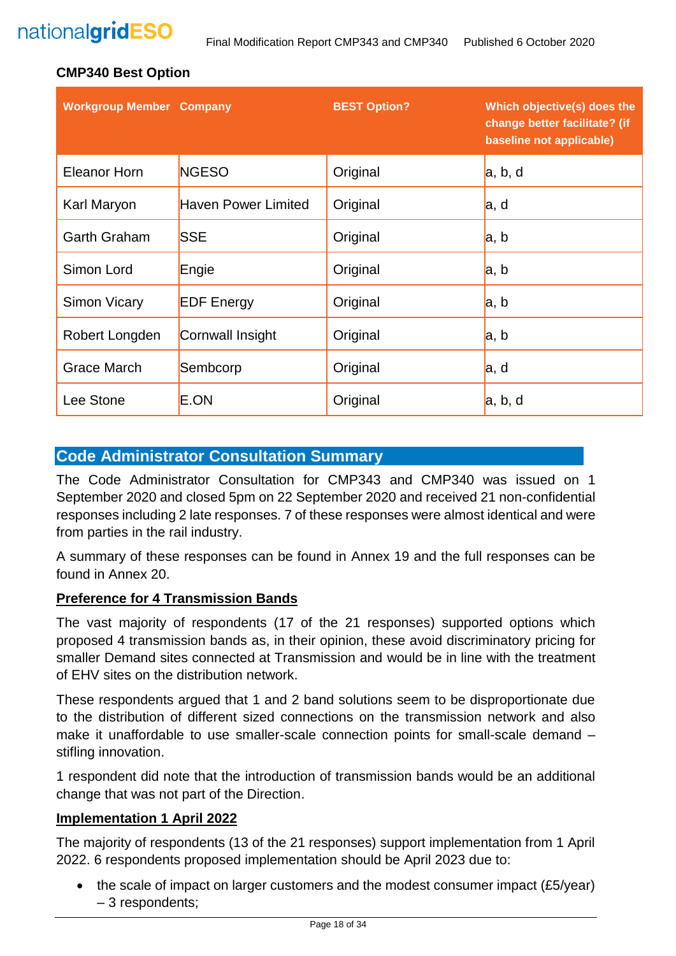### **CMP340 Best Option**

| <b>Workgroup Member Company</b> |                            | <b>BEST Option?</b> | Which objective(s) does the<br>change better facilitate? (if<br>baseline not applicable) |
|---------------------------------|----------------------------|---------------------|------------------------------------------------------------------------------------------|
| <b>Eleanor Horn</b>             | <b>NGESO</b>               | Original            | a, b, d                                                                                  |
| Karl Maryon                     | <b>Haven Power Limited</b> | Original            | a, d                                                                                     |
| <b>Garth Graham</b>             | <b>SSE</b>                 | Original            | la, b                                                                                    |
| Simon Lord                      | Engie                      | Original            | a, b                                                                                     |
| Simon Vicary                    | <b>EDF Energy</b>          | Original            | a, b                                                                                     |
| Robert Longden                  | Cornwall Insight           | Original            | a, b                                                                                     |
| Grace March                     | Sembcorp                   | Original            | a, d                                                                                     |
| Lee Stone                       | E.ON                       | Original            | a, b, d                                                                                  |

# **Code Administrator Consultation Summary**

The Code Administrator Consultation for CMP343 and CMP340 was issued on 1 September 2020 and closed 5pm on 22 September 2020 and received 21 non-confidential responses including 2 late responses. 7 of these responses were almost identical and were from parties in the rail industry.

A summary of these responses can be found in Annex 19 and the full responses can be found in Annex 20.

#### **Preference for 4 Transmission Bands**

The vast majority of respondents (17 of the 21 responses) supported options which proposed 4 transmission bands as, in their opinion, these avoid discriminatory pricing for smaller Demand sites connected at Transmission and would be in line with the treatment of EHV sites on the distribution network.

These respondents argued that 1 and 2 band solutions seem to be disproportionate due to the distribution of different sized connections on the transmission network and also make it unaffordable to use smaller-scale connection points for small-scale demand – stifling innovation.

1 respondent did note that the introduction of transmission bands would be an additional change that was not part of the Direction.

#### **Implementation 1 April 2022**

The majority of respondents (13 of the 21 responses) support implementation from 1 April 2022. 6 respondents proposed implementation should be April 2023 due to:

• the scale of impact on larger customers and the modest consumer impact (£5/year) – 3 respondents;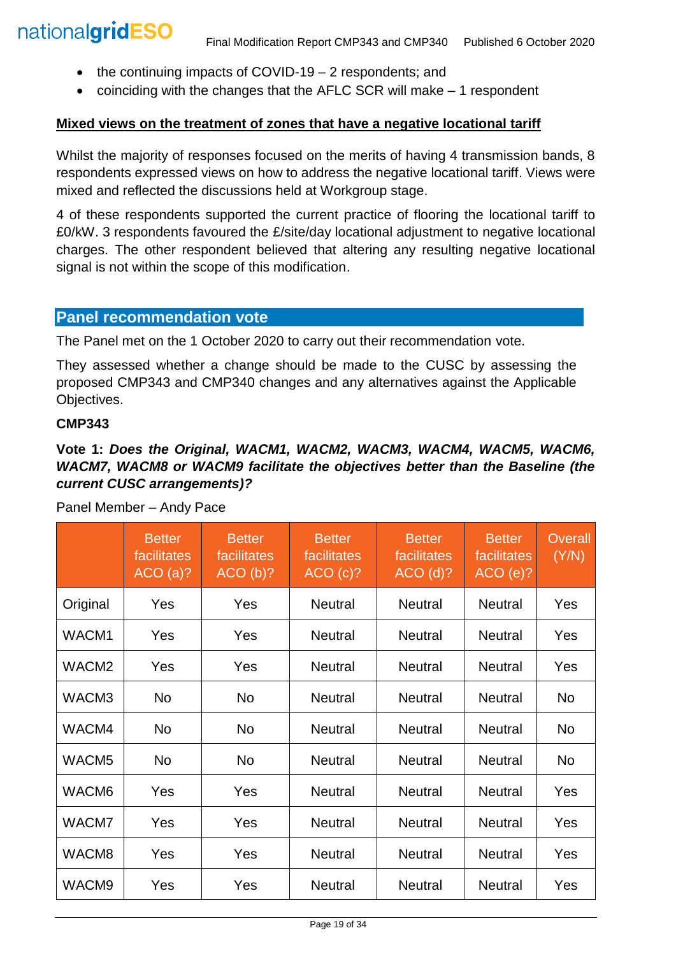- the continuing impacts of COVID-19 2 respondents: and
- coinciding with the changes that the AFLC SCR will make 1 respondent

### **Mixed views on the treatment of zones that have a negative locational tariff**

Whilst the majority of responses focused on the merits of having 4 transmission bands, 8 respondents expressed views on how to address the negative locational tariff. Views were mixed and reflected the discussions held at Workgroup stage.

4 of these respondents supported the current practice of flooring the locational tariff to £0/kW. 3 respondents favoured the £/site/day locational adjustment to negative locational charges. The other respondent believed that altering any resulting negative locational signal is not within the scope of this modification.

# **Panel recommendation vote**

The Panel met on the 1 October 2020 to carry out their recommendation vote.

They assessed whether a change should be made to the CUSC by assessing the proposed CMP343 and CMP340 changes and any alternatives against the Applicable Objectives.

#### **CMP343**

# **Vote 1:** *Does the Original, WACM1, WACM2, WACM3, WACM4, WACM5, WACM6, WACM7, WACM8 or WACM9 facilitate the objectives better than the Baseline (the current CUSC arrangements)?*

|                   | <b>Better</b><br>facilitates<br>ACO(a)? | <b>Better</b><br>facilitates<br>ACO(b)? | <b>Better</b><br>facilitates<br>ACO(C)? | <b>Better</b><br>facilitates<br>ACO(d)? | <b>Better</b><br>facilitates<br>ACO(e)? | <b>Overall</b><br>(Y/N) |
|-------------------|-----------------------------------------|-----------------------------------------|-----------------------------------------|-----------------------------------------|-----------------------------------------|-------------------------|
| Original          | <b>Yes</b>                              | Yes                                     | <b>Neutral</b>                          | <b>Neutral</b>                          | <b>Neutral</b>                          | Yes                     |
| WACM1             | Yes                                     | Yes                                     | <b>Neutral</b>                          | <b>Neutral</b>                          | <b>Neutral</b>                          | Yes                     |
| WACM <sub>2</sub> | Yes                                     | Yes                                     | <b>Neutral</b>                          | <b>Neutral</b>                          | <b>Neutral</b>                          | Yes                     |
| WACM3             | No                                      | <b>No</b>                               | <b>Neutral</b>                          | <b>Neutral</b>                          | <b>Neutral</b>                          | No                      |
| WACM4             | No.                                     | <b>No</b>                               | <b>Neutral</b>                          | <b>Neutral</b>                          | <b>Neutral</b>                          | No                      |
| WACM <sub>5</sub> | No.                                     | No                                      | <b>Neutral</b>                          | <b>Neutral</b>                          | <b>Neutral</b>                          | No                      |
| WACM6             | Yes                                     | Yes                                     | <b>Neutral</b>                          | <b>Neutral</b>                          | <b>Neutral</b>                          | Yes                     |
| WACM7             | Yes                                     | Yes                                     | <b>Neutral</b>                          | <b>Neutral</b>                          | <b>Neutral</b>                          | Yes                     |
| WACM8             | Yes                                     | Yes                                     | <b>Neutral</b>                          | <b>Neutral</b>                          | <b>Neutral</b>                          | Yes                     |
| WACM9             | Yes                                     | Yes                                     | <b>Neutral</b>                          | <b>Neutral</b>                          | <b>Neutral</b>                          | Yes                     |

Panel Member – Andy Pace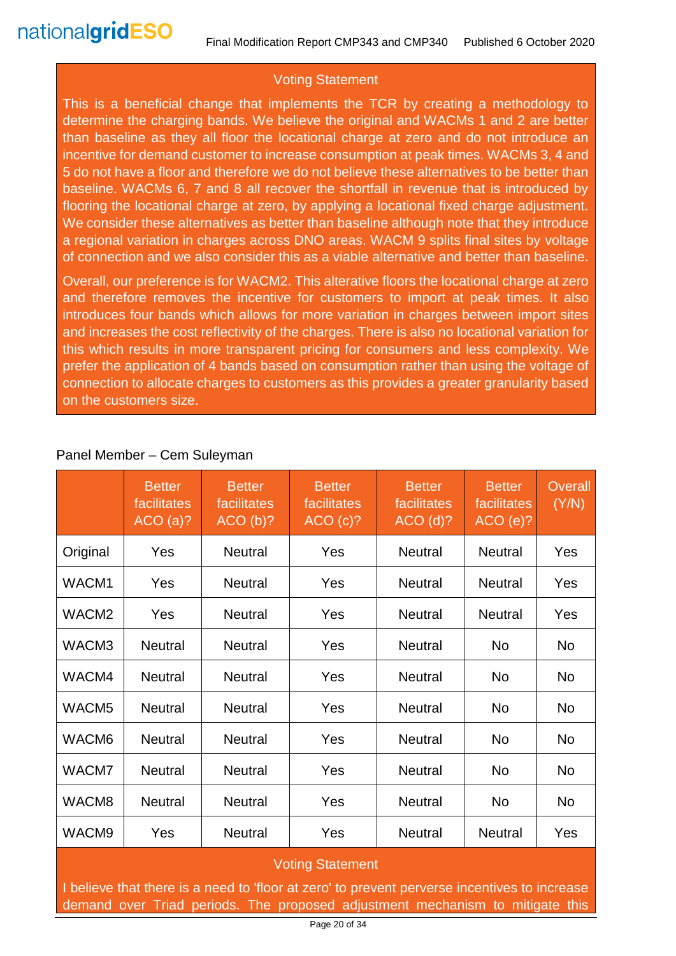# Voting Statement

This is a beneficial change that implements the TCR by creating a methodology to determine the charging bands. We believe the original and WACMs 1 and 2 are better than baseline as they all floor the locational charge at zero and do not introduce an incentive for demand customer to increase consumption at peak times. WACMs 3, 4 and 5 do not have a floor and therefore we do not believe these alternatives to be better than baseline. WACMs 6, 7 and 8 all recover the shortfall in revenue that is introduced by flooring the locational charge at zero, by applying a locational fixed charge adjustment. We consider these alternatives as better than baseline although note that they introduce a regional variation in charges across DNO areas. WACM 9 splits final sites by voltage of connection and we also consider this as a viable alternative and better than baseline.

Overall, our preference is for WACM2. This alterative floors the locational charge at zero and therefore removes the incentive for customers to import at peak times. It also introduces four bands which allows for more variation in charges between import sites and increases the cost reflectivity of the charges. There is also no locational variation for this which results in more transparent pricing for consumers and less complexity. We prefer the application of 4 bands based on consumption rather than using the voltage of connection to allocate charges to customers as this provides a greater granularity based on the customers size.

|                   | <b>Better</b><br>facilitates<br>ACO(a)? | <b>Better</b><br>facilitates<br>ACO(b)? | <b>Better</b><br>facilitates<br>ACO(c)? | <b>Better</b><br>facilitates<br>$ACO$ (d)? | <b>Better</b><br>facilitates<br>$ACO(e)$ ? | <b>Overall</b><br>(Y/N) |  |
|-------------------|-----------------------------------------|-----------------------------------------|-----------------------------------------|--------------------------------------------|--------------------------------------------|-------------------------|--|
| Original          | Yes                                     | <b>Neutral</b>                          | Yes                                     | <b>Neutral</b>                             | <b>Neutral</b>                             | Yes                     |  |
| WACM1             | Yes                                     | <b>Neutral</b>                          | Yes                                     | <b>Neutral</b>                             | <b>Neutral</b>                             | Yes                     |  |
| WACM <sub>2</sub> | Yes                                     | <b>Neutral</b>                          | Yes                                     | <b>Neutral</b>                             | <b>Neutral</b>                             | Yes                     |  |
| WACM3             | <b>Neutral</b>                          | <b>Neutral</b>                          | Yes                                     | <b>Neutral</b>                             | <b>No</b>                                  | No                      |  |
| WACM4             | <b>Neutral</b>                          | <b>Neutral</b>                          | Yes                                     | <b>Neutral</b>                             | <b>No</b>                                  | <b>No</b>               |  |
| WACM <sub>5</sub> | <b>Neutral</b>                          | <b>Neutral</b>                          | Yes                                     | <b>Neutral</b>                             | <b>No</b>                                  | <b>No</b>               |  |
| WACM6             | <b>Neutral</b>                          | <b>Neutral</b>                          | Yes                                     | <b>Neutral</b>                             | <b>No</b>                                  | <b>No</b>               |  |
| WACM7             | <b>Neutral</b>                          | <b>Neutral</b>                          | Yes                                     | <b>Neutral</b>                             | No                                         | No                      |  |
| WACM8             | <b>Neutral</b>                          | <b>Neutral</b>                          | Yes                                     | <b>Neutral</b>                             | <b>No</b>                                  | No                      |  |
| WACM9             | Yes                                     | <b>Neutral</b>                          | Yes                                     | <b>Neutral</b>                             | <b>Neutral</b>                             | Yes                     |  |
|                   | <b>Voting Statement</b>                 |                                         |                                         |                                            |                                            |                         |  |

### Panel Member – Cem Suleyman

I believe that there is a need to 'floor at zero' to prevent perverse incentives to increase demand over Triad periods. The proposed adjustment mechanism to mitigate this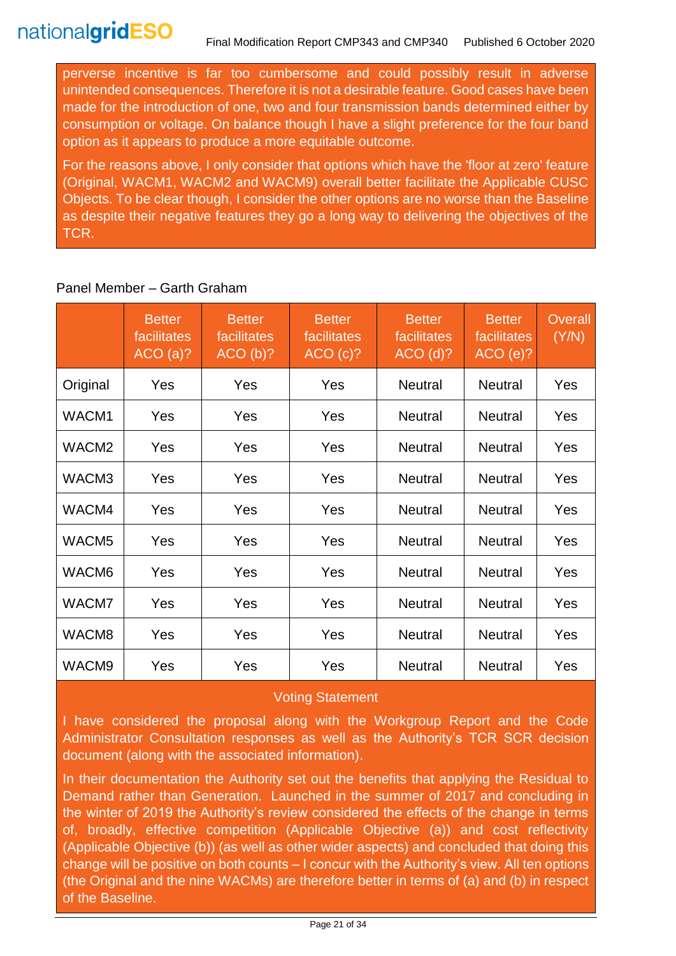perverse incentive is far too cumbersome and could possibly result in adverse unintended consequences. Therefore it is not a desirable feature. Good cases have been made for the introduction of one, two and four transmission bands determined either by consumption or voltage. On balance though I have a slight preference for the four band option as it appears to produce a more equitable outcome.

For the reasons above, I only consider that options which have the 'floor at zero' feature (Original, WACM1, WACM2 and WACM9) overall better facilitate the Applicable CUSC Objects. To be clear though, I consider the other options are no worse than the Baseline as despite their negative features they go a long way to delivering the objectives of the TCR.

|                   | <b>Better</b><br>facilitates<br>ACO(a)? | <b>Better</b><br>facilitates<br>ACO(b)? | <b>Better</b><br>facilitates<br>ACO(c)? | <b>Better</b><br>facilitates<br>$ACO$ (d)? | <b>Better</b><br>facilitates<br>ACO(e)? | Overall<br>(Y/N) |
|-------------------|-----------------------------------------|-----------------------------------------|-----------------------------------------|--------------------------------------------|-----------------------------------------|------------------|
| Original          | Yes                                     | Yes                                     | Yes                                     | <b>Neutral</b>                             | <b>Neutral</b>                          | Yes              |
| WACM1             | Yes                                     | Yes                                     | Yes                                     | <b>Neutral</b>                             | <b>Neutral</b>                          | Yes              |
| WACM <sub>2</sub> | Yes                                     | Yes                                     | Yes                                     | <b>Neutral</b>                             | <b>Neutral</b>                          | Yes              |
| WACM3             | Yes                                     | Yes                                     | Yes                                     | <b>Neutral</b>                             | <b>Neutral</b>                          | Yes              |
| WACM4             | Yes                                     | Yes                                     | Yes                                     | <b>Neutral</b>                             | <b>Neutral</b>                          | Yes              |
| WACM <sub>5</sub> | Yes                                     | Yes                                     | Yes                                     | <b>Neutral</b>                             | <b>Neutral</b>                          | Yes              |
| WACM6             | Yes                                     | Yes                                     | Yes                                     | <b>Neutral</b>                             | <b>Neutral</b>                          | Yes              |
| WACM7             | Yes                                     | Yes                                     | Yes                                     | <b>Neutral</b>                             | <b>Neutral</b>                          | Yes              |
| WACM8             | Yes                                     | Yes                                     | Yes                                     | <b>Neutral</b>                             | <b>Neutral</b>                          | Yes              |
| WACM9             | Yes                                     | Yes                                     | Yes                                     | <b>Neutral</b>                             | <b>Neutral</b>                          | Yes              |

# Panel Member – Garth Graham

### Voting Statement

I have considered the proposal along with the Workgroup Report and the Code Administrator Consultation responses as well as the Authority's TCR SCR decision document (along with the associated information).

In their documentation the Authority set out the benefits that applying the Residual to Demand rather than Generation. Launched in the summer of 2017 and concluding in the winter of 2019 the Authority's review considered the effects of the change in terms of, broadly, effective competition (Applicable Objective (a)) and cost reflectivity (Applicable Objective (b)) (as well as other wider aspects) and concluded that doing this change will be positive on both counts – I concur with the Authority's view. All ten options (the Original and the nine WACMs) are therefore better in terms of (a) and (b) in respect of the Baseline.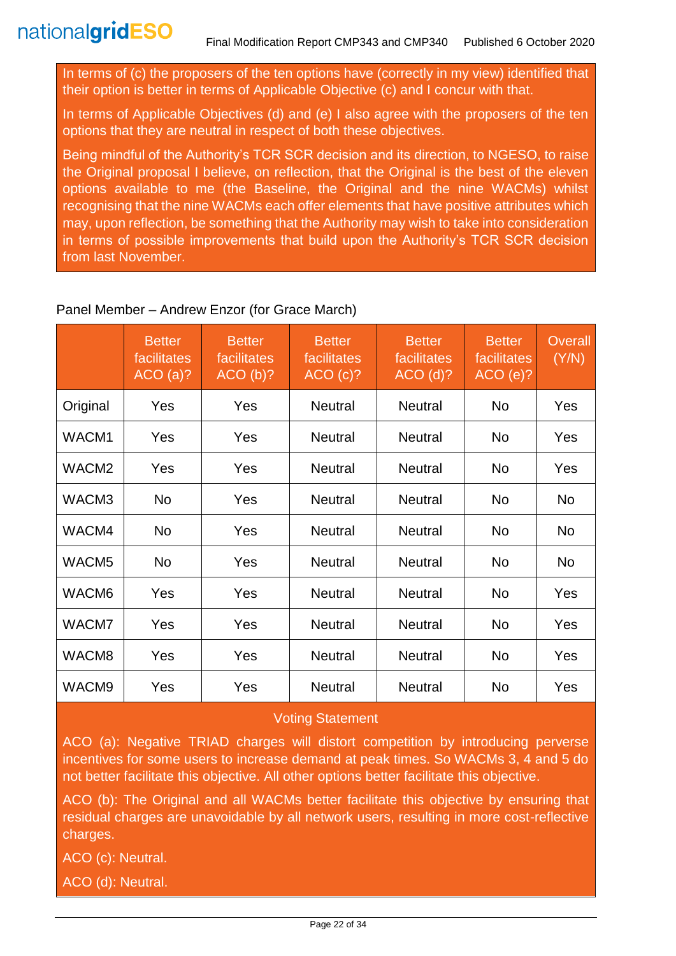In terms of (c) the proposers of the ten options have (correctly in my view) identified that their option is better in terms of Applicable Objective (c) and I concur with that.

In terms of Applicable Objectives (d) and (e) I also agree with the proposers of the ten options that they are neutral in respect of both these objectives.

Being mindful of the Authority's TCR SCR decision and its direction, to NGESO, to raise the Original proposal I believe, on reflection, that the Original is the best of the eleven options available to me (the Baseline, the Original and the nine WACMs) whilst recognising that the nine WACMs each offer elements that have positive attributes which may, upon reflection, be something that the Authority may wish to take into consideration in terms of possible improvements that build upon the Authority's TCR SCR decision from last November.

### Panel Member – Andrew Enzor (for Grace March)

|                   | <b>Better</b><br>facilitates<br>ACO(a)? | <b>Better</b><br>facilitates<br>ACO(b)? | <b>Better</b><br>facilitates<br>ACO(c)? | <b>Better</b><br>facilitates<br>$ACO$ (d)? | <b>Better</b><br>facilitates<br>ACO(e)? | Overall<br>(Y/N) |
|-------------------|-----------------------------------------|-----------------------------------------|-----------------------------------------|--------------------------------------------|-----------------------------------------|------------------|
| Original          | Yes                                     | Yes                                     | <b>Neutral</b>                          | <b>Neutral</b>                             | <b>No</b>                               | Yes              |
| WACM1             | Yes                                     | Yes                                     | <b>Neutral</b>                          | <b>Neutral</b>                             | <b>No</b>                               | Yes              |
| WACM <sub>2</sub> | Yes                                     | Yes                                     | <b>Neutral</b>                          | <b>Neutral</b>                             | <b>No</b>                               | Yes              |
| WACM3             | <b>No</b>                               | Yes                                     | <b>Neutral</b>                          | <b>Neutral</b>                             | <b>No</b>                               | <b>No</b>        |
| WACM4             | <b>No</b>                               | Yes                                     | <b>Neutral</b>                          | <b>Neutral</b>                             | <b>No</b>                               | <b>No</b>        |
| WACM <sub>5</sub> | No                                      | Yes                                     | <b>Neutral</b>                          | <b>Neutral</b>                             | <b>No</b>                               | No               |
| WACM6             | Yes                                     | Yes                                     | <b>Neutral</b>                          | <b>Neutral</b>                             | <b>No</b>                               | Yes              |
| WACM7             | Yes                                     | <b>Yes</b>                              | <b>Neutral</b>                          | <b>Neutral</b>                             | No                                      | Yes              |
| WACM8             | Yes                                     | Yes                                     | <b>Neutral</b>                          | <b>Neutral</b>                             | <b>No</b>                               | Yes              |
| WACM9             | Yes                                     | Yes                                     | <b>Neutral</b>                          | <b>Neutral</b>                             | No                                      | Yes              |

### Voting Statement

ACO (a): Negative TRIAD charges will distort competition by introducing perverse incentives for some users to increase demand at peak times. So WACMs 3, 4 and 5 do not better facilitate this objective. All other options better facilitate this objective.

ACO (b): The Original and all WACMs better facilitate this objective by ensuring that residual charges are unavoidable by all network users, resulting in more cost-reflective charges.

ACO (c): Neutral.

ACO (d): Neutral.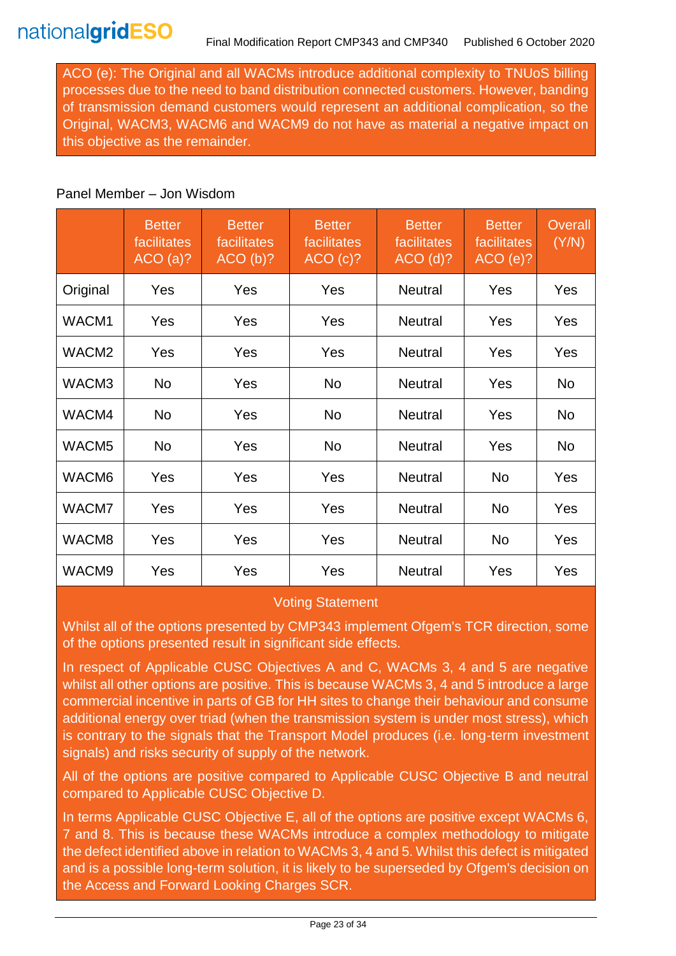ACO (e): The Original and all WACMs introduce additional complexity to TNUoS billing processes due to the need to band distribution connected customers. However, banding of transmission demand customers would represent an additional complication, so the Original, WACM3, WACM6 and WACM9 do not have as material a negative impact on this objective as the remainder.

#### Panel Member – Jon Wisdom

|                   | <b>Better</b><br>facilitates<br>ACO(a)? | <b>Better</b><br>facilitates<br>ACO(b)? | <b>Better</b><br>facilitates<br>ACO(c)? | <b>Better</b><br>facilitates<br>$ACO$ (d)? | <b>Better</b><br>facilitates<br>ACO(e)? | <b>Overall</b><br>(Y/N) |
|-------------------|-----------------------------------------|-----------------------------------------|-----------------------------------------|--------------------------------------------|-----------------------------------------|-------------------------|
| Original          | Yes                                     | Yes                                     | Yes                                     | <b>Neutral</b>                             | Yes                                     | Yes                     |
| WACM1             | Yes                                     | Yes                                     | Yes                                     | <b>Neutral</b>                             | Yes                                     | Yes                     |
| WACM <sub>2</sub> | Yes                                     | Yes                                     | Yes                                     | <b>Neutral</b>                             | Yes                                     | Yes                     |
| WACM3             | No.                                     | Yes                                     | <b>No</b>                               | <b>Neutral</b>                             | Yes                                     | No                      |
| WACM4             | <b>No</b>                               | Yes                                     | <b>No</b>                               | <b>Neutral</b>                             | Yes                                     | <b>No</b>               |
| WACM <sub>5</sub> | No                                      | Yes                                     | <b>No</b>                               | <b>Neutral</b>                             | Yes                                     | No.                     |
| WACM6             | Yes                                     | Yes                                     | Yes                                     | <b>Neutral</b>                             | No                                      | Yes                     |
| WACM7             | Yes                                     | Yes                                     | Yes                                     | <b>Neutral</b>                             | No                                      | Yes                     |
| WACM8             | Yes                                     | Yes                                     | Yes                                     | <b>Neutral</b>                             | No                                      | Yes                     |
| WACM9             | Yes                                     | Yes                                     | Yes                                     | <b>Neutral</b>                             | Yes                                     | Yes                     |

### Voting Statement

Whilst all of the options presented by CMP343 implement Ofgem's TCR direction, some of the options presented result in significant side effects.

In respect of Applicable CUSC Objectives A and C, WACMs 3, 4 and 5 are negative whilst all other options are positive. This is because WACMs 3, 4 and 5 introduce a large commercial incentive in parts of GB for HH sites to change their behaviour and consume additional energy over triad (when the transmission system is under most stress), which is contrary to the signals that the Transport Model produces (i.e. long-term investment signals) and risks security of supply of the network.

All of the options are positive compared to Applicable CUSC Objective B and neutral compared to Applicable CUSC Objective D.

In terms Applicable CUSC Objective E, all of the options are positive except WACMs 6, 7 and 8. This is because these WACMs introduce a complex methodology to mitigate the defect identified above in relation to WACMs 3, 4 and 5. Whilst this defect is mitigated and is a possible long-term solution, it is likely to be superseded by Ofgem's decision on the Access and Forward Looking Charges SCR.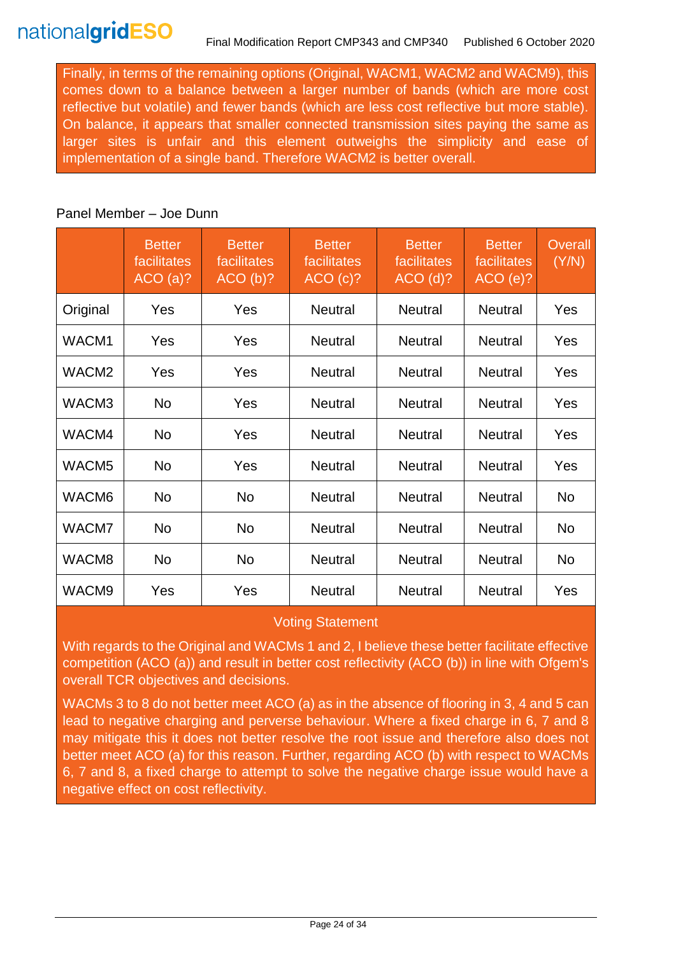Finally, in terms of the remaining options (Original, WACM1, WACM2 and WACM9), this comes down to a balance between a larger number of bands (which are more cost reflective but volatile) and fewer bands (which are less cost reflective but more stable). On balance, it appears that smaller connected transmission sites paying the same as larger sites is unfair and this element outweighs the simplicity and ease of implementation of a single band. Therefore WACM2 is better overall.

#### Panel Member – Joe Dunn

|                   | <b>Better</b><br>facilitates<br>ACO(a)? | <b>Better</b><br>facilitates<br>ACO(b)? | <b>Better</b><br>facilitates<br>ACO(c)? | <b>Better</b><br>facilitates<br>$ACO$ (d)? | <b>Better</b><br>facilitates<br>ACO(e)? | <b>Overall</b><br>(Y/N) |
|-------------------|-----------------------------------------|-----------------------------------------|-----------------------------------------|--------------------------------------------|-----------------------------------------|-------------------------|
| Original          | Yes                                     | Yes                                     | <b>Neutral</b>                          | <b>Neutral</b>                             | <b>Neutral</b>                          | Yes                     |
| WACM1             | Yes                                     | Yes                                     | <b>Neutral</b>                          | <b>Neutral</b>                             | <b>Neutral</b>                          | Yes                     |
| WACM <sub>2</sub> | Yes                                     | Yes                                     | <b>Neutral</b>                          | <b>Neutral</b>                             | <b>Neutral</b>                          | Yes                     |
| WACM3             | No                                      | Yes                                     | <b>Neutral</b>                          | <b>Neutral</b>                             | Neutral                                 | Yes                     |
| WACM4             | No                                      | Yes                                     | <b>Neutral</b>                          | <b>Neutral</b>                             | <b>Neutral</b>                          | Yes                     |
| WACM <sub>5</sub> | No                                      | Yes                                     | <b>Neutral</b>                          | <b>Neutral</b>                             | <b>Neutral</b>                          | Yes                     |
| WACM6             | No                                      | No                                      | <b>Neutral</b>                          | <b>Neutral</b>                             | <b>Neutral</b>                          | No                      |
| WACM7             | No                                      | No                                      | <b>Neutral</b>                          | <b>Neutral</b>                             | <b>Neutral</b>                          | No                      |
| WACM8             | No                                      | No                                      | <b>Neutral</b>                          | <b>Neutral</b>                             | <b>Neutral</b>                          | No                      |
| WACM9             | Yes                                     | Yes                                     | <b>Neutral</b>                          | <b>Neutral</b>                             | <b>Neutral</b>                          | Yes                     |

### Voting Statement

With regards to the Original and WACMs 1 and 2, I believe these better facilitate effective competition (ACO (a)) and result in better cost reflectivity (ACO (b)) in line with Ofgem's overall TCR objectives and decisions.

WACMs 3 to 8 do not better meet ACO (a) as in the absence of flooring in 3, 4 and 5 can lead to negative charging and perverse behaviour. Where a fixed charge in 6, 7 and 8 may mitigate this it does not better resolve the root issue and therefore also does not better meet ACO (a) for this reason. Further, regarding ACO (b) with respect to WACMs 6, 7 and 8, a fixed charge to attempt to solve the negative charge issue would have a negative effect on cost reflectivity.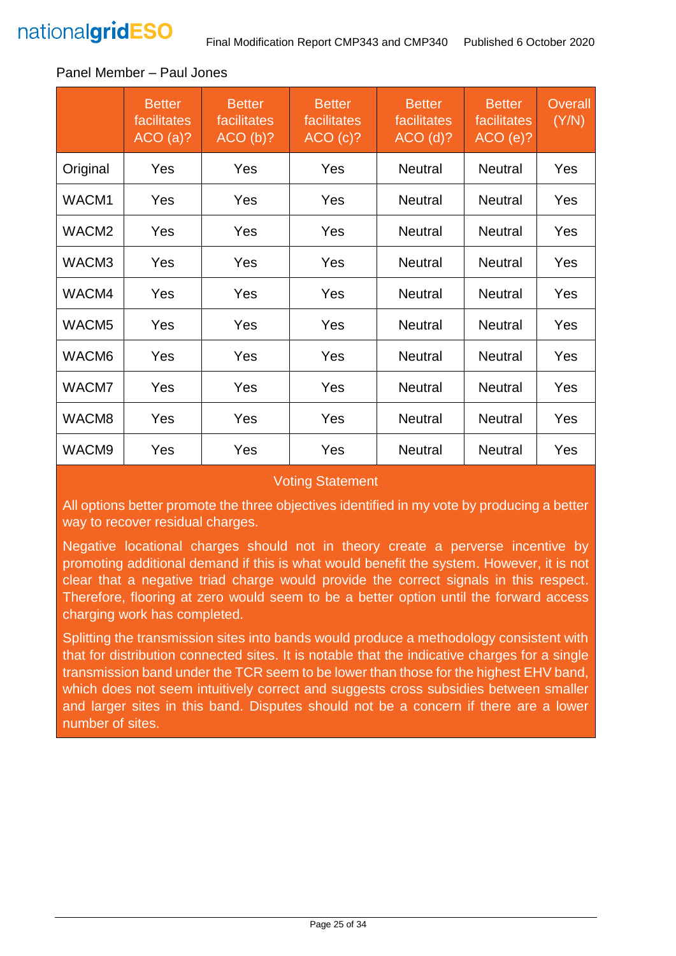

#### **Better** facilitates ACO (a)? **Better** facilitates ACO (b)? **Better facilitates** ACO (c)? **Better** facilitates ACO (d)? **Better facilitates** ACO (e)? **Overall** (Y/N) Original | Yes | Yes | Yes | Neutral | Neutral | Yes WACM1 | Yes | Yes | Yes | Neutral | Neutral | Yes WACM2 | Yes | Yes | Yes | Neutral | Neutral | Yes WACM3 | Yes | Yes | Yes | Neutral | Neutral | Yes WACM4 | Yes | Yes | Yes | Neutral | Neutral | Yes WACM5 | Yes | Yes | Yes | Neutral | Neutral | Yes WACM6 | Yes | Yes | Yes | Neutral | Neutral | Yes WACM7 | Yes | Yes | Yes | Neutral | Neutral | Yes WACM8 | Yes | Yes | Yes | Neutral | Neutral | Yes

#### Panel Member – Paul Jones

#### Voting Statement

WACM9 | Yes | Yes | Yes | Neutral | Neutral | Yes

All options better promote the three objectives identified in my vote by producing a better way to recover residual charges.

Negative locational charges should not in theory create a perverse incentive by promoting additional demand if this is what would benefit the system. However, it is not clear that a negative triad charge would provide the correct signals in this respect. Therefore, flooring at zero would seem to be a better option until the forward access charging work has completed.

Splitting the transmission sites into bands would produce a methodology consistent with that for distribution connected sites. It is notable that the indicative charges for a single transmission band under the TCR seem to be lower than those for the highest EHV band, which does not seem intuitively correct and suggests cross subsidies between smaller and larger sites in this band. Disputes should not be a concern if there are a lower number of sites.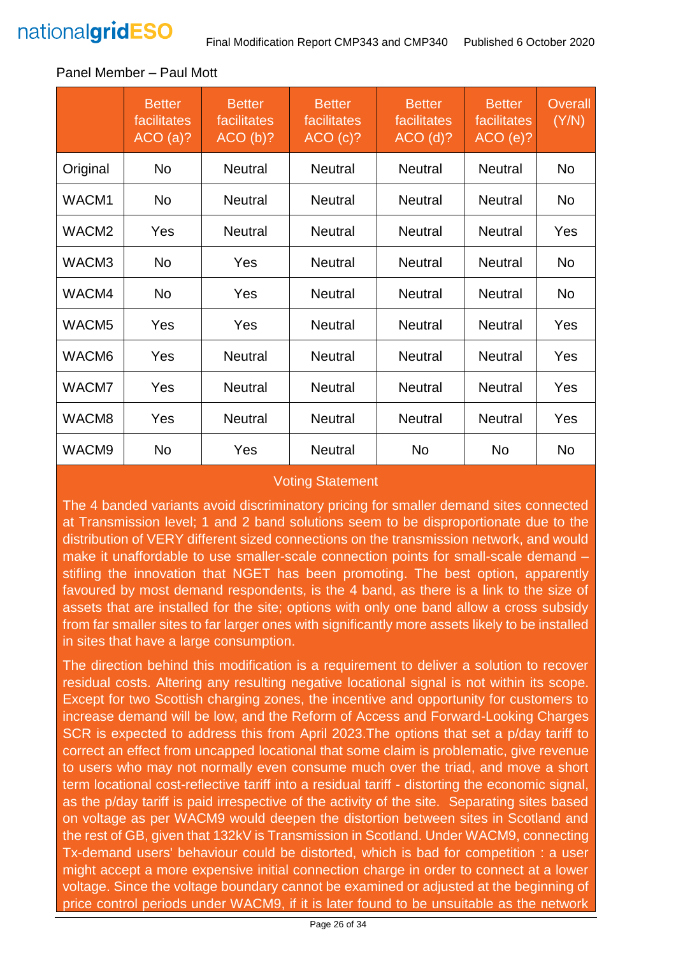

|                   | <b>Better</b><br>facilitates<br>ACO(a)? | <b>Better</b><br>facilitates<br>ACO(b)? | <b>Better</b><br>facilitates<br>ACO(C)? | <b>Better</b><br>facilitates<br>$ACO$ (d)? | <b>Better</b><br>facilitates<br>ACO(e)? | <b>Overall</b><br>(Y/N) |
|-------------------|-----------------------------------------|-----------------------------------------|-----------------------------------------|--------------------------------------------|-----------------------------------------|-------------------------|
| Original          | <b>No</b>                               | <b>Neutral</b>                          | <b>Neutral</b>                          | <b>Neutral</b>                             | <b>Neutral</b>                          | <b>No</b>               |
| WACM1             | <b>No</b>                               | <b>Neutral</b>                          | <b>Neutral</b>                          | <b>Neutral</b>                             | <b>Neutral</b>                          | <b>No</b>               |
| WACM <sub>2</sub> | Yes                                     | <b>Neutral</b>                          | <b>Neutral</b>                          | <b>Neutral</b>                             | <b>Neutral</b>                          | Yes                     |
| WACM3             | No                                      | Yes                                     | <b>Neutral</b>                          | <b>Neutral</b>                             | <b>Neutral</b>                          | <b>No</b>               |
| WACM4             | No                                      | Yes                                     | <b>Neutral</b>                          | <b>Neutral</b>                             | <b>Neutral</b>                          | <b>No</b>               |
| WACM <sub>5</sub> | Yes                                     | Yes                                     | <b>Neutral</b>                          | <b>Neutral</b>                             | <b>Neutral</b>                          | Yes                     |
| WACM6             | Yes                                     | <b>Neutral</b>                          | <b>Neutral</b>                          | <b>Neutral</b>                             | <b>Neutral</b>                          | Yes                     |
| WACM7             | Yes                                     | <b>Neutral</b>                          | <b>Neutral</b>                          | <b>Neutral</b>                             | <b>Neutral</b>                          | Yes                     |
| WACM8             | Yes                                     | <b>Neutral</b>                          | <b>Neutral</b>                          | <b>Neutral</b>                             | <b>Neutral</b>                          | Yes                     |
| WACM9             | No                                      | Yes                                     | <b>Neutral</b>                          | No                                         | No                                      | No                      |

#### Panel Member – Paul Mott

### Voting Statement

The 4 banded variants avoid discriminatory pricing for smaller demand sites connected at Transmission level; 1 and 2 band solutions seem to be disproportionate due to the distribution of VERY different sized connections on the transmission network, and would make it unaffordable to use smaller-scale connection points for small-scale demand – stifling the innovation that NGET has been promoting. The best option, apparently favoured by most demand respondents, is the 4 band, as there is a link to the size of assets that are installed for the site; options with only one band allow a cross subsidy from far smaller sites to far larger ones with significantly more assets likely to be installed in sites that have a large consumption.

The direction behind this modification is a requirement to deliver a solution to recover residual costs. Altering any resulting negative locational signal is not within its scope. Except for two Scottish charging zones, the incentive and opportunity for customers to increase demand will be low, and the Reform of Access and Forward-Looking Charges SCR is expected to address this from April 2023.The options that set a p/day tariff to correct an effect from uncapped locational that some claim is problematic, give revenue to users who may not normally even consume much over the triad, and move a short term locational cost-reflective tariff into a residual tariff - distorting the economic signal, as the p/day tariff is paid irrespective of the activity of the site. Separating sites based on voltage as per WACM9 would deepen the distortion between sites in Scotland and the rest of GB, given that 132kV is Transmission in Scotland. Under WACM9, connecting Tx-demand users' behaviour could be distorted, which is bad for competition : a user might accept a more expensive initial connection charge in order to connect at a lower voltage. Since the voltage boundary cannot be examined or adjusted at the beginning of price control periods under WACM9, if it is later found to be unsuitable as the network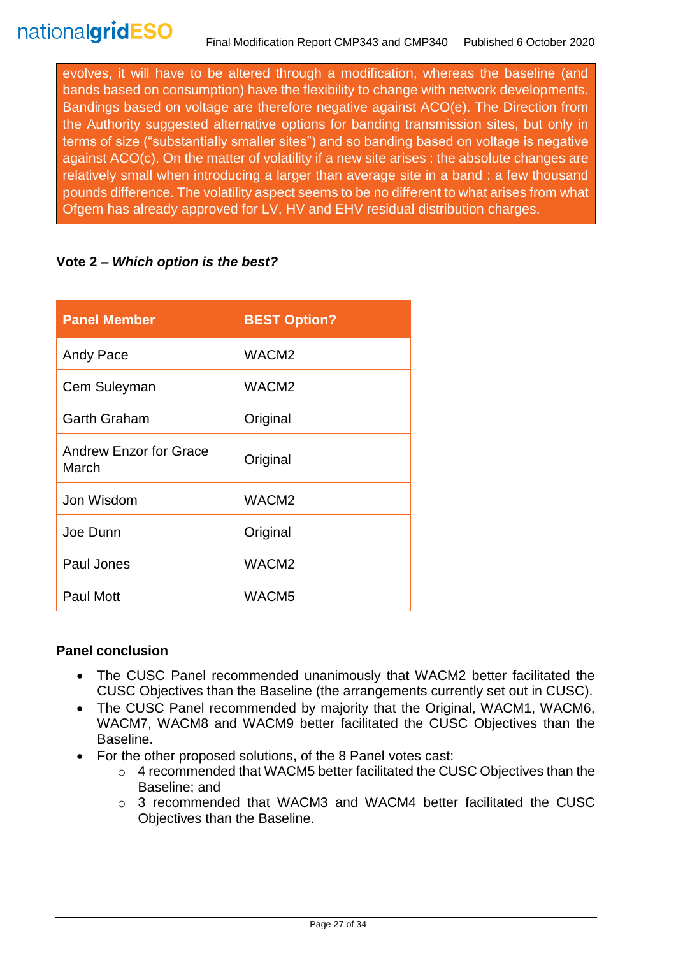evolves, it will have to be altered through a modification, whereas the baseline (and bands based on consumption) have the flexibility to change with network developments. Bandings based on voltage are therefore negative against ACO(e). The Direction from the Authority suggested alternative options for banding transmission sites, but only in terms of size ("substantially smaller sites") and so banding based on voltage is negative against ACO(c). On the matter of volatility if a new site arises : the absolute changes are relatively small when introducing a larger than average site in a band : a few thousand pounds difference. The volatility aspect seems to be no different to what arises from what Ofgem has already approved for LV, HV and EHV residual distribution charges.

### **Vote 2 –** *Which option is the best?*

| <b>Panel Member</b>                    | <b>BEST Option?</b> |
|----------------------------------------|---------------------|
| Andy Pace                              | WACM <sub>2</sub>   |
| Cem Suleyman                           | WACM <sub>2</sub>   |
| <b>Garth Graham</b>                    | Original            |
| <b>Andrew Enzor for Grace</b><br>March | Original            |
| Jon Wisdom                             | WACM <sub>2</sub>   |
| Joe Dunn                               | Original            |
| Paul Jones                             | WACM <sub>2</sub>   |
| <b>Paul Mott</b>                       | WACM <sub>5</sub>   |

### **Panel conclusion**

- The CUSC Panel recommended unanimously that WACM2 better facilitated the CUSC Objectives than the Baseline (the arrangements currently set out in CUSC).
- The CUSC Panel recommended by majority that the Original, WACM1, WACM6, WACM7, WACM8 and WACM9 better facilitated the CUSC Objectives than the Baseline.
- For the other proposed solutions, of the 8 Panel votes cast:
	- $\circ$  4 recommended that WACM5 better facilitated the CUSC Objectives than the Baseline; and
	- o 3 recommended that WACM3 and WACM4 better facilitated the CUSC Objectives than the Baseline.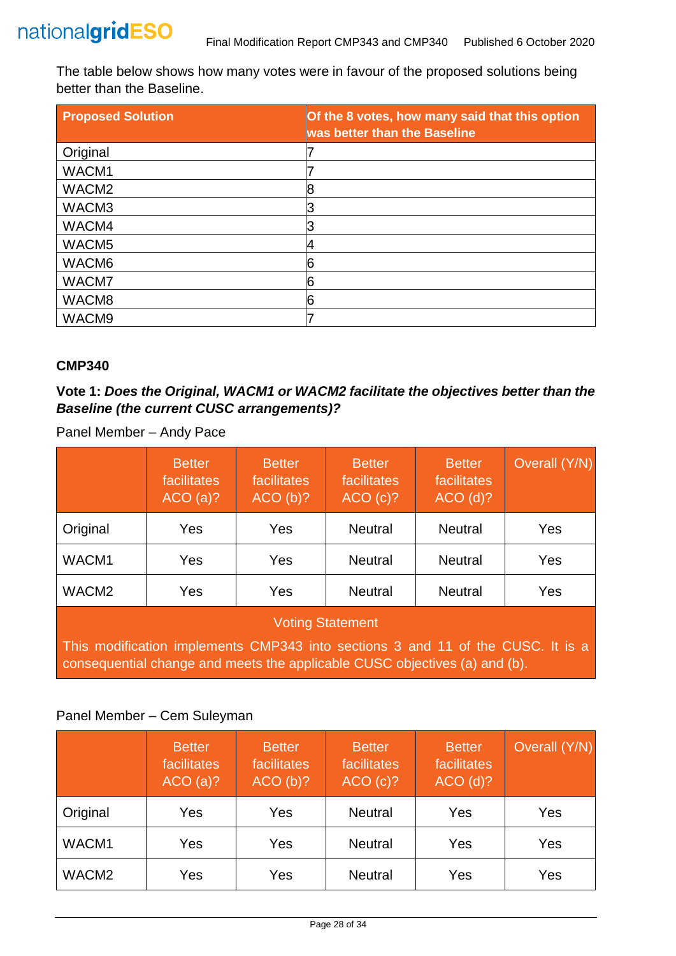

The table below shows how many votes were in favour of the proposed solutions being better than the Baseline.

| <b>Proposed Solution</b> | Of the 8 votes, how many said that this option<br>was better than the Baseline |
|--------------------------|--------------------------------------------------------------------------------|
| Original                 |                                                                                |
| WACM1                    |                                                                                |
| WACM <sub>2</sub>        | 8                                                                              |
| WACM3                    |                                                                                |
| WACM4                    |                                                                                |
| WACM <sub>5</sub>        |                                                                                |
| WACM6                    | 6                                                                              |
| WACM7                    | 6                                                                              |
| WACM8                    | 6                                                                              |
| WACM9                    |                                                                                |

#### **CMP340**

### **Vote 1:** *Does the Original, WACM1 or WACM2 facilitate the objectives better than the Baseline (the current CUSC arrangements)?*

|                                                                                                                                                               | <b>Better</b><br>facilitates<br>ACO(a)? | <b>Better</b><br>facilitates<br>ACO(b)? | <b>Better</b><br>facilitates<br>ACO(c)? | <b>Better</b><br>facilitates<br>$ACO$ (d)? | Overall (Y/N) |
|---------------------------------------------------------------------------------------------------------------------------------------------------------------|-----------------------------------------|-----------------------------------------|-----------------------------------------|--------------------------------------------|---------------|
| Original                                                                                                                                                      | Yes                                     | Yes                                     | <b>Neutral</b>                          | <b>Neutral</b>                             | <b>Yes</b>    |
| WACM1                                                                                                                                                         | Yes                                     | Yes                                     | <b>Neutral</b>                          | <b>Neutral</b>                             | Yes           |
| WACM <sub>2</sub>                                                                                                                                             | Yes                                     | Yes                                     | <b>Neutral</b>                          | <b>Neutral</b>                             | <b>Yes</b>    |
| <b>Voting Statement</b>                                                                                                                                       |                                         |                                         |                                         |                                            |               |
| This modification implements CMP343 into sections 3 and 11 of the CUSC. It is a<br>consequential change and meets the applicable CUSC objectives (a) and (b). |                                         |                                         |                                         |                                            |               |

Panel Member – Andy Pace

### Panel Member – Cem Suleyman

|                   | <b>Better</b><br>facilitates<br>ACO(a)? | <b>Better</b><br>facilitates<br>ACO(b)? | <b>Better</b><br>facilitates<br>ACO(c)? | <b>Better</b><br>facilitates<br>$ACO$ (d)? | Overall (Y/N) |
|-------------------|-----------------------------------------|-----------------------------------------|-----------------------------------------|--------------------------------------------|---------------|
| Original          | Yes                                     | Yes                                     | <b>Neutral</b>                          | Yes                                        | Yes           |
| WACM1             | Yes                                     | Yes                                     | <b>Neutral</b>                          | Yes                                        | Yes           |
| WACM <sub>2</sub> | Yes                                     | Yes                                     | <b>Neutral</b>                          | Yes                                        | Yes           |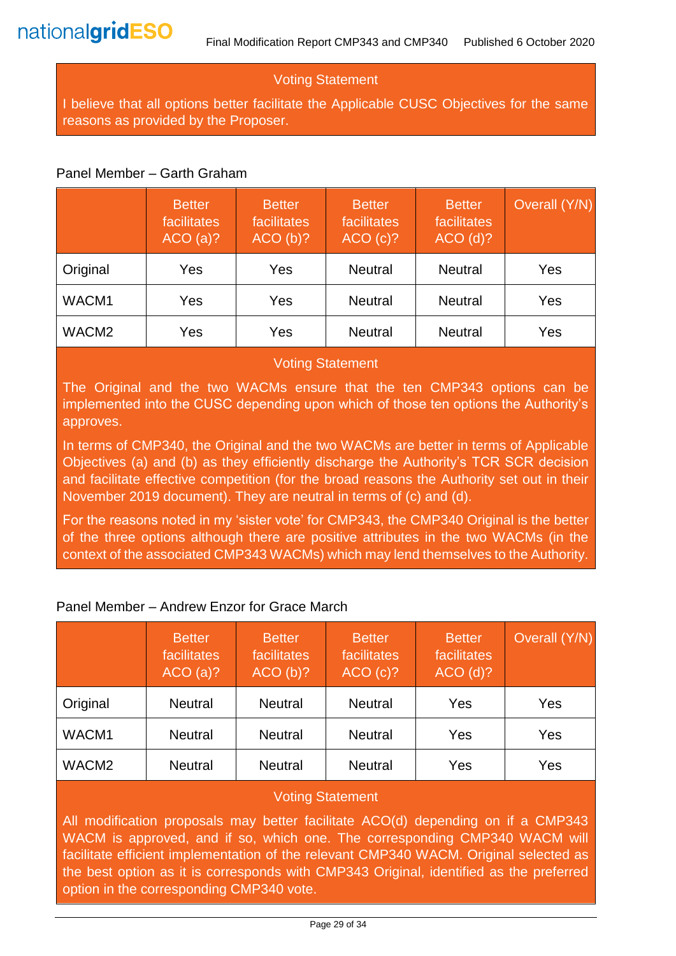### Voting Statement

I believe that all options better facilitate the Applicable CUSC Objectives for the same reasons as provided by the Proposer.

#### Panel Member – Garth Graham

|                   | <b>Better</b><br>facilitates<br>ACO(a)? | <b>Better</b><br>facilitates<br>ACO(b)? | <b>Better</b><br>facilitates<br>ACO(c)? | <b>Better</b><br>facilitates<br>$ACO$ (d)? | Overall (Y/N) |
|-------------------|-----------------------------------------|-----------------------------------------|-----------------------------------------|--------------------------------------------|---------------|
| Original          | Yes                                     | Yes                                     | <b>Neutral</b>                          | <b>Neutral</b>                             | Yes           |
| WACM1             | Yes                                     | Yes                                     | <b>Neutral</b>                          | <b>Neutral</b>                             | Yes           |
| WACM <sub>2</sub> | Yes                                     | Yes                                     | <b>Neutral</b>                          | <b>Neutral</b>                             | Yes           |

#### Voting Statement

The Original and the two WACMs ensure that the ten CMP343 options can be implemented into the CUSC depending upon which of those ten options the Authority's approves.

In terms of CMP340, the Original and the two WACMs are better in terms of Applicable Objectives (a) and (b) as they efficiently discharge the Authority's TCR SCR decision and facilitate effective competition (for the broad reasons the Authority set out in their November 2019 document). They are neutral in terms of (c) and (d).

For the reasons noted in my 'sister vote' for CMP343, the CMP340 Original is the better of the three options although there are positive attributes in the two WACMs (in the context of the associated CMP343 WACMs) which may lend themselves to the Authority.

### Panel Member – Andrew Enzor for Grace March

|                   | <b>Better</b><br>facilitates<br>ACO(a)? | <b>Better</b><br>facilitates<br>ACO(b)? | <b>Better</b><br>facilitates<br>ACO(c)? | <b>Better</b><br>facilitates<br>$ACO$ (d)? | Overall (Y/N) |
|-------------------|-----------------------------------------|-----------------------------------------|-----------------------------------------|--------------------------------------------|---------------|
| Original          | <b>Neutral</b>                          | <b>Neutral</b>                          | <b>Neutral</b>                          | Yes                                        | Yes           |
| WACM1             | <b>Neutral</b>                          | <b>Neutral</b>                          | <b>Neutral</b>                          | Yes                                        | Yes           |
| WACM <sub>2</sub> | <b>Neutral</b>                          | <b>Neutral</b>                          | <b>Neutral</b>                          | Yes                                        | Yes           |

### Voting Statement

All modification proposals may better facilitate ACO(d) depending on if a CMP343 WACM is approved, and if so, which one. The corresponding CMP340 WACM will facilitate efficient implementation of the relevant CMP340 WACM. Original selected as the best option as it is corresponds with CMP343 Original, identified as the preferred option in the corresponding CMP340 vote.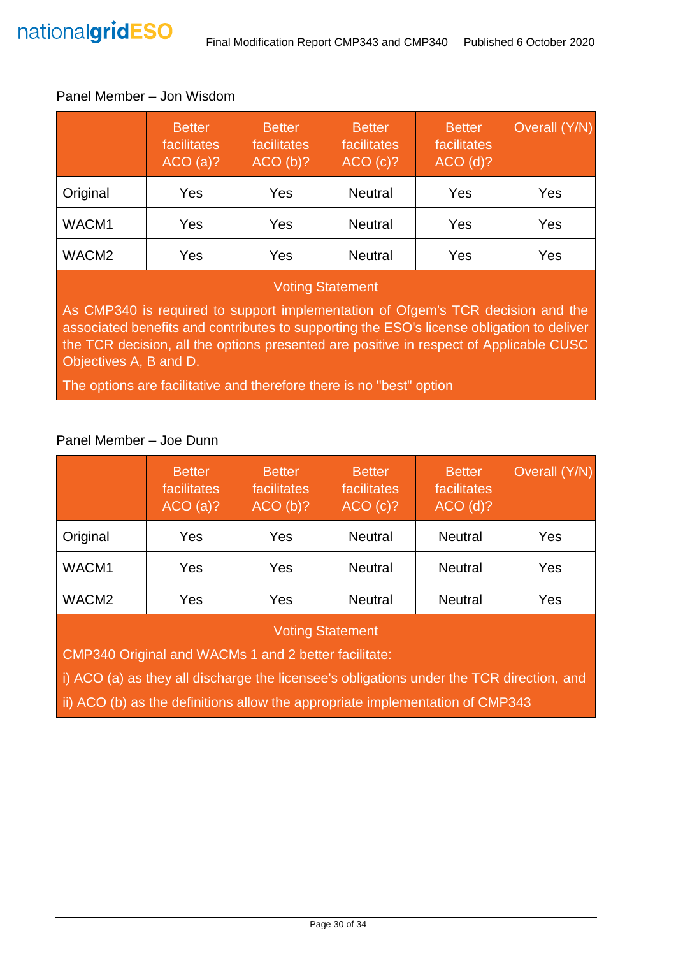#### Panel Member – Jon Wisdom

|                   | <b>Better</b><br>facilitates<br>ACO(a)? | <b>Better</b><br>facilitates<br>ACO(b)? | <b>Better</b><br>facilitates<br>ACO(c)? | <b>Better</b><br>facilitates<br>$ACO$ (d)? | Overall (Y/N) |
|-------------------|-----------------------------------------|-----------------------------------------|-----------------------------------------|--------------------------------------------|---------------|
| Original          | Yes                                     | Yes                                     | <b>Neutral</b>                          | Yes                                        | Yes           |
| WACM1             | Yes                                     | Yes                                     | <b>Neutral</b>                          | Yes                                        | Yes           |
| WACM <sub>2</sub> | Yes                                     | Yes                                     | <b>Neutral</b>                          | Yes                                        | Yes           |

#### Voting Statement

As CMP340 is required to support implementation of Ofgem's TCR decision and the associated benefits and contributes to supporting the ESO's license obligation to deliver the TCR decision, all the options presented are positive in respect of Applicable CUSC Objectives A, B and D.

The options are facilitative and therefore there is no "best" option

# Panel Member – Joe Dunn

|                   | <b>Better</b><br>facilitates<br>ACO(a)? | <b>Better</b><br>facilitates<br>ACO(b)? | <b>Better</b><br>facilitates<br>ACO(c)? | <b>Better</b><br>facilitates<br>$ACO$ (d)? | Overall (Y/N) |
|-------------------|-----------------------------------------|-----------------------------------------|-----------------------------------------|--------------------------------------------|---------------|
| Original          | Yes                                     | Yes                                     | <b>Neutral</b>                          | <b>Neutral</b>                             | Yes           |
| WACM1             | Yes                                     | Yes                                     | <b>Neutral</b>                          | <b>Neutral</b>                             | Yes           |
| WACM <sub>2</sub> | Yes                                     | Yes                                     | <b>Neutral</b>                          | <b>Neutral</b>                             | Yes           |

### Voting Statement

CMP340 Original and WACMs 1 and 2 better facilitate:

i) ACO (a) as they all discharge the licensee's obligations under the TCR direction, and

ii) ACO (b) as the definitions allow the appropriate implementation of CMP343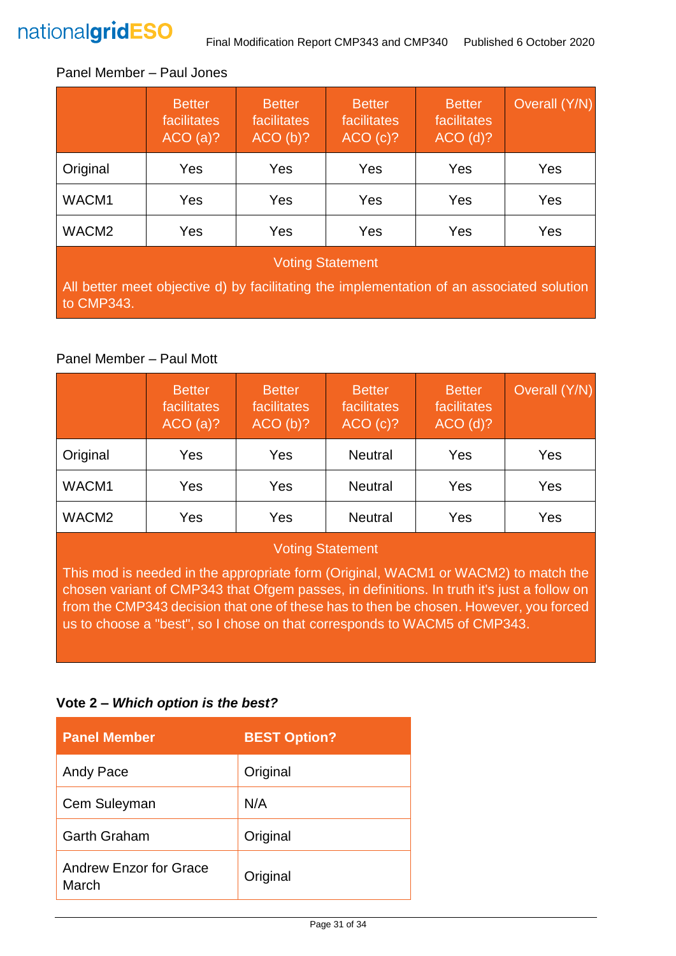

#### Panel Member – Paul Jones

|                                                                                                         | <b>Better</b><br>facilitates<br>ACO(a)? | <b>Better</b><br>facilitates<br>ACO(b)? | <b>Better</b><br>facilitates<br>ACO(c)? | <b>Better</b><br>facilitates<br>$ACO$ (d)? | Overall (Y/N) |
|---------------------------------------------------------------------------------------------------------|-----------------------------------------|-----------------------------------------|-----------------------------------------|--------------------------------------------|---------------|
| Original                                                                                                | Yes                                     | Yes                                     | Yes                                     | Yes                                        | Yes           |
| WACM1                                                                                                   | Yes                                     | Yes                                     | Yes                                     | Yes                                        | Yes           |
| WACM <sub>2</sub>                                                                                       | Yes                                     | Yes                                     | Yes                                     | Yes                                        | Yes           |
| <b>Voting Statement</b>                                                                                 |                                         |                                         |                                         |                                            |               |
| All better meet objective d) by facilitating the implementation of an associated solution<br>to CMP343. |                                         |                                         |                                         |                                            |               |

#### Panel Member – Paul Mott

|                   | <b>Better</b><br>facilitates<br>ACO(a)? | <b>Better</b><br>facilitates<br>ACO(b)? | <b>Better</b><br>facilitates<br>ACO(C)? | <b>Better</b><br>facilitates<br>$ACO$ (d)? | Overall (Y/N) |
|-------------------|-----------------------------------------|-----------------------------------------|-----------------------------------------|--------------------------------------------|---------------|
| Original          | Yes                                     | Yes                                     | <b>Neutral</b>                          | Yes                                        | Yes           |
| WACM1             | Yes                                     | Yes                                     | <b>Neutral</b>                          | Yes                                        | Yes           |
| WACM <sub>2</sub> | Yes                                     | Yes                                     | <b>Neutral</b>                          | Yes                                        | Yes           |

#### Voting Statement

This mod is needed in the appropriate form (Original, WACM1 or WACM2) to match the chosen variant of CMP343 that Ofgem passes, in definitions. In truth it's just a follow on from the CMP343 decision that one of these has to then be chosen. However, you forced us to choose a "best", so I chose on that corresponds to WACM5 of CMP343.

#### **Vote 2 –** *Which option is the best?*

| <b>Panel Member</b>                    | <b>BEST Option?</b> |
|----------------------------------------|---------------------|
| Andy Pace                              | Original            |
| Cem Suleyman                           | N/A                 |
| <b>Garth Graham</b>                    | Original            |
| <b>Andrew Enzor for Grace</b><br>March | Original            |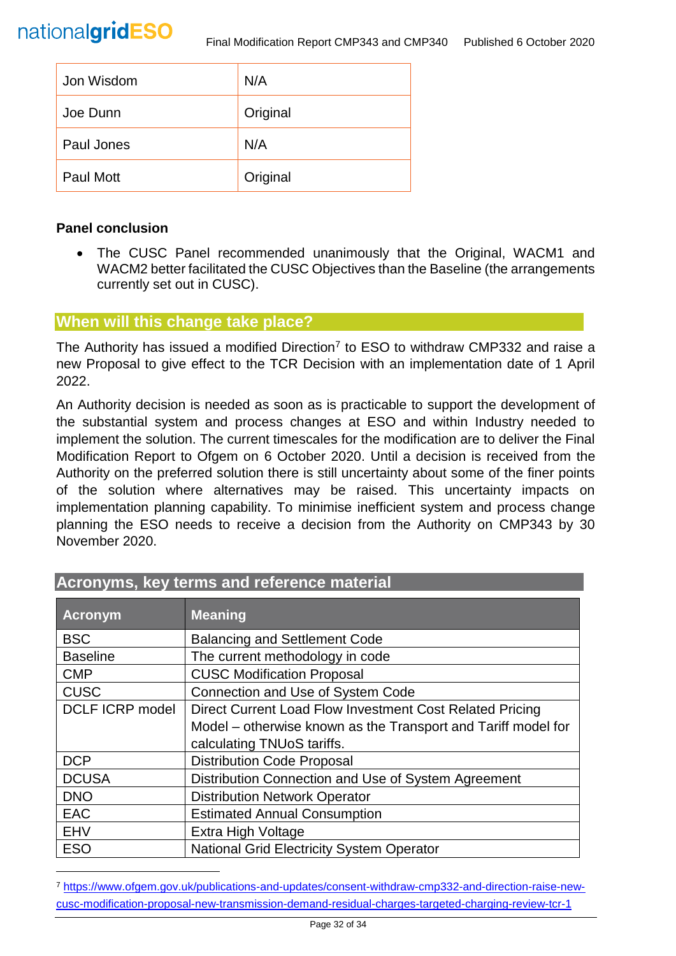

| Jon Wisdom       | N/A      |
|------------------|----------|
| Joe Dunn         | Original |
| Paul Jones       | N/A      |
| <b>Paul Mott</b> | Original |

#### **Panel conclusion**

l

• The CUSC Panel recommended unanimously that the Original, WACM1 and WACM2 better facilitated the CUSC Objectives than the Baseline (the arrangements currently set out in CUSC).

#### **When will this change take place?**

The Authority has issued a modified Direction<sup>7</sup> to ESO to withdraw CMP332 and raise a new Proposal to give effect to the TCR Decision with an implementation date of 1 April 2022.

An Authority decision is needed as soon as is practicable to support the development of the substantial system and process changes at ESO and within Industry needed to implement the solution. The current timescales for the modification are to deliver the Final Modification Report to Ofgem on 6 October 2020. Until a decision is received from the Authority on the preferred solution there is still uncertainty about some of the finer points of the solution where alternatives may be raised. This uncertainty impacts on implementation planning capability. To minimise inefficient system and process change planning the ESO needs to receive a decision from the Authority on CMP343 by 30 November 2020.

| <b>Acronym</b>         | <b>Meaning</b>                                                |
|------------------------|---------------------------------------------------------------|
| <b>BSC</b>             | <b>Balancing and Settlement Code</b>                          |
| <b>Baseline</b>        | The current methodology in code                               |
| <b>CMP</b>             | <b>CUSC Modification Proposal</b>                             |
| <b>CUSC</b>            | <b>Connection and Use of System Code</b>                      |
| <b>DCLF ICRP model</b> | Direct Current Load Flow Investment Cost Related Pricing      |
|                        | Model - otherwise known as the Transport and Tariff model for |
|                        | calculating TNUoS tariffs.                                    |
| <b>DCP</b>             | <b>Distribution Code Proposal</b>                             |
| <b>DCUSA</b>           | Distribution Connection and Use of System Agreement           |
| <b>DNO</b>             | <b>Distribution Network Operator</b>                          |
| <b>EAC</b>             | <b>Estimated Annual Consumption</b>                           |
| <b>EHV</b>             | Extra High Voltage                                            |
| <b>ESO</b>             | <b>National Grid Electricity System Operator</b>              |

# **Acronyms, key terms and reference material**

<sup>7</sup> [https://www.ofgem.gov.uk/publications-and-updates/consent-withdraw-cmp332-and-direction-raise-new](https://www.ofgem.gov.uk/publications-and-updates/consent-withdraw-cmp332-and-direction-raise-new-cusc-modification-proposal-new-transmission-demand-residual-charges-targeted-charging-review-tcr-1)[cusc-modification-proposal-new-transmission-demand-residual-charges-targeted-charging-review-tcr-1](https://www.ofgem.gov.uk/publications-and-updates/consent-withdraw-cmp332-and-direction-raise-new-cusc-modification-proposal-new-transmission-demand-residual-charges-targeted-charging-review-tcr-1)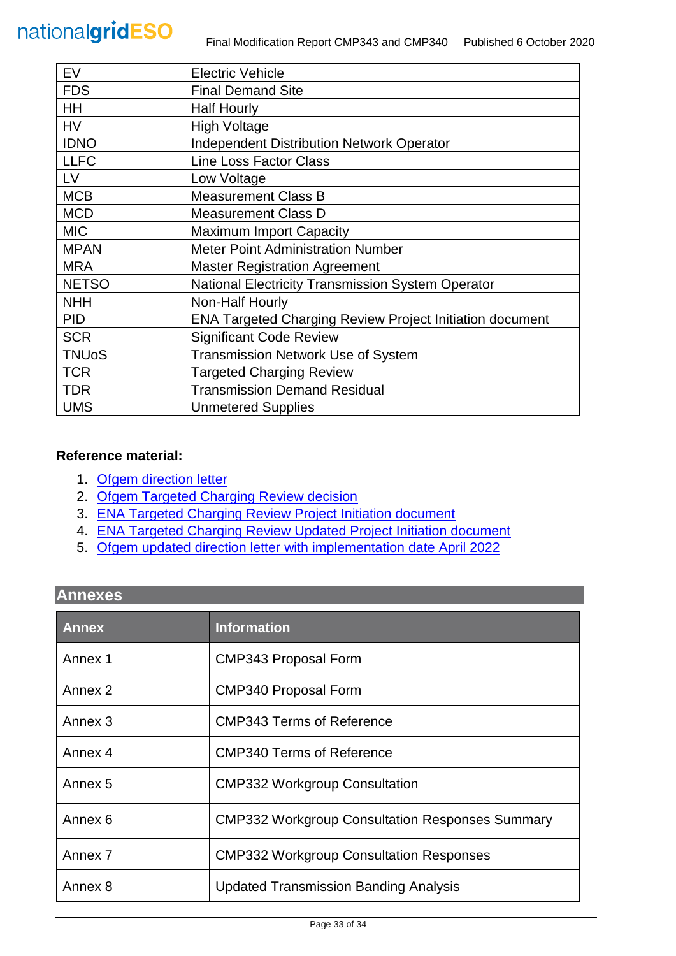| EV           | <b>Electric Vehicle</b>                                         |
|--------------|-----------------------------------------------------------------|
| <b>FDS</b>   | <b>Final Demand Site</b>                                        |
| <b>HH</b>    | <b>Half Hourly</b>                                              |
| <b>HV</b>    | <b>High Voltage</b>                                             |
| <b>IDNO</b>  | <b>Independent Distribution Network Operator</b>                |
| <b>LLFC</b>  | <b>Line Loss Factor Class</b>                                   |
| LV           | Low Voltage                                                     |
| <b>MCB</b>   | <b>Measurement Class B</b>                                      |
| <b>MCD</b>   | <b>Measurement Class D</b>                                      |
| <b>MIC</b>   | <b>Maximum Import Capacity</b>                                  |
| <b>MPAN</b>  | <b>Meter Point Administration Number</b>                        |
| <b>MRA</b>   | <b>Master Registration Agreement</b>                            |
| <b>NETSO</b> | <b>National Electricity Transmission System Operator</b>        |
| <b>NHH</b>   | Non-Half Hourly                                                 |
| <b>PID</b>   | <b>ENA Targeted Charging Review Project Initiation document</b> |
| <b>SCR</b>   | <b>Significant Code Review</b>                                  |
| <b>TNUoS</b> | <b>Transmission Network Use of System</b>                       |
| <b>TCR</b>   | <b>Targeted Charging Review</b>                                 |
| <b>TDR</b>   | <b>Transmission Demand Residual</b>                             |
| <b>UMS</b>   | <b>Unmetered Supplies</b>                                       |

#### **Reference material:**

- 1. [Ofgem direction letter](https://www.ofgem.gov.uk/system/files/docs/2019/11/cusc_direction_1.pdf)
- 2. [Ofgem Targeted Charging Review decision](https://www.ofgem.gov.uk/system/files/docs/2019/12/full_decision_doc_updated.pdf)
- 3. [ENA Targeted Charging Review Project Initiation document](https://urldefense.com/v3/__http:/www.chargingfutures.com/media/1390/tcr-joint-eso-dno-pid-v10.pdf__;!70_KdN2uTJA!iTCC0uKa-KGiJ-mbkt9wKAdUd4VEQgNAnFADH7gkPuWIOXPyWFJ25WItQW-c8yUgXR06uw$)
- 4. [ENA Targeted Charging Review Updated Project Initiation document](http://www.chargingfutures.com/media/1444/tcr-joint-eso-dno-pid-update-v11.pdf)
- 5. Ofgem updated direction letter [with implementation date April 2022](https://www.ofgem.gov.uk/publications-and-updates/consent-withdraw-cmp332-and-direction-raise-new-cusc-modification-proposal-new-transmission-demand-residual-charges-targeted-charging-review-tcr-1)

# **Annexes**

| <b>Annex</b>       | <b>Information</b>                                     |
|--------------------|--------------------------------------------------------|
| Annex 1            | <b>CMP343 Proposal Form</b>                            |
| Annex 2            | <b>CMP340 Proposal Form</b>                            |
| Annex 3            | <b>CMP343 Terms of Reference</b>                       |
| Annex 4            | <b>CMP340 Terms of Reference</b>                       |
| Annex <sub>5</sub> | <b>CMP332 Workgroup Consultation</b>                   |
| Annex 6            | <b>CMP332 Workgroup Consultation Responses Summary</b> |
| Annex 7            | <b>CMP332 Workgroup Consultation Responses</b>         |
| Annex 8            | <b>Updated Transmission Banding Analysis</b>           |